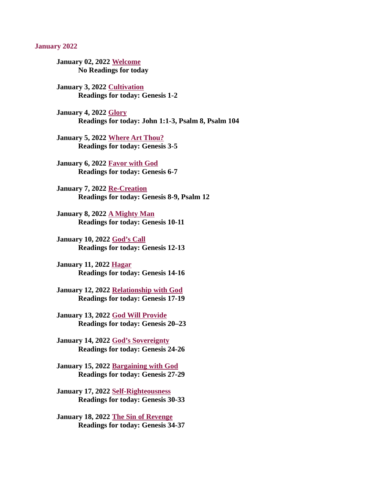#### <span id="page-0-0"></span>January 2022

[January 02, 2022 Welcome](#page-2-0) No Readings for today

January 3, 2022 Cultivation [Readings for today: Genesis 1-2](#page-3-0)

January 4, 2022 Glory [Readings for today: John 1:1-3, Psalm 8, Psalm 104](#page-5-0)

[January 5, 2022 Where Art Thou?](#page-6-0) Readings for today: Genesis 3-5

[January 6, 2022 Favor with God](#page-8-0) Readings for today: Genesis 6-7

January 7, 2022 Re-Creation [Readings for today: Genesis 8-9, Psalm 12](#page-10-0)

January 8, 2022 A Mighty Man [Readings for today: Genesis 10-11](#page-12-0)

January 10, 2022 God's Call [Readings for today: Genesis 12-13](#page-14-0)

January 11, 2022 Hagar [Readings for today: Genesis 14-16](#page-16-0)

[January 12, 2022 Relationship with God](#page-17-0) Readings for today: Genesis 17-19

[January 13, 2022 God Will Provide](#page-19-0) Readings for today: Genesis 20–23

[January 14, 2022 God's Sovereignty](#page-21-0) Readings for today: Genesis 24-26

[January 15, 2022 Bargaining with God](#page-23-0) Readings for today: Genesis 27-29

[January 17, 2022 Self-Righteousness](#page-24-0) Readings for today: Genesis 30-33

[January 18, 2022 The Sin of Revenge](#page-25-0) Readings for today: Genesis 34-37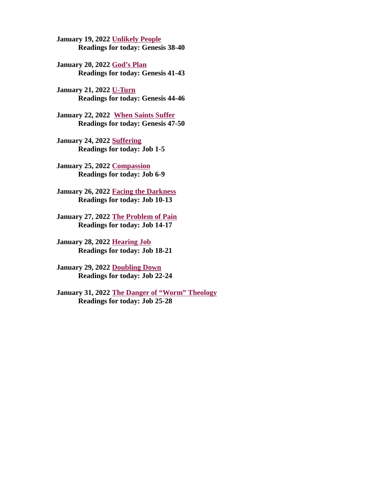January 19, 2022 Unlikely People [Readings for today: Genesis 38-40](#page-27-0)

January 20, 2022 God's Plan [Readings for today: Genesis 41-43](#page-28-0)

January 21, 2022 U-Turn [Readings for today: Genesis 44-46](#page-30-0)

[January 22, 2022 When Saints Suffer](#page-31-0) Readings for today: Genesis 47-50

January 24, 2022 Suffering [Readings for today: Job 1-5](#page-32-0)

[January 25, 2022 Compassion](#page-34-0) Readings for today: Job 6-9

[January 26, 2022 Facing the Darkness](#page-36-0) Readings for today: Job 10-13

[January 27, 2022 The Problem of Pain](#page-38-0) Readings for today: Job 14-17

[January 28, 2022 Hearing Job](#page-40-0) Readings for today: Job 18-21

[January 29, 2022 Doubling Down](#page-41-0) Readings for today: Job 22-24

[January 31, 2022 The Danger of "Worm" Theology](#page-43-0) Readings for today: Job 25-28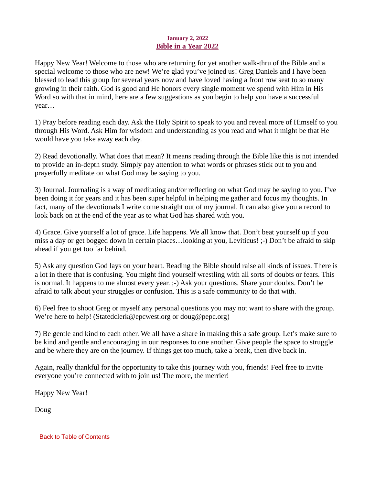## January 2, 2022 Bible in a Year 2022

<span id="page-2-0"></span>Happy New Year! Welcome to those who are returning for yet another walk-thru of the Bible and a special welcome to those who are new! We're glad you've joined us! Greg Daniels and I have been blessed to lead this group for several years now and have loved having a front row seat to so many growing in their faith. God is good and He honors every single moment we spend with Him in His Word so with that in mind, here are a few suggestions as you begin to help you have a successful year…

1) Pray before reading each day. Ask the Holy Spirit to speak to you and reveal more of Himself to you through His Word. Ask Him for wisdom and understanding as you read and what it might be that He would have you take away each day.

2) Read devotionally. What does that mean? It means reading through the Bible like this is not intended to provide an in-depth study. Simply pay attention to what words or phrases stick out to you and prayerfully meditate on what God may be saying to you.

3) Journal. Journaling is a way of meditating and/or reflecting on what God may be saying to you. I've been doing it for years and it has been super helpful in helping me gather and focus my thoughts. In fact, many of the devotionals I write come straight out of my journal. It can also give you a record to look back on at the end of the year as to what God has shared with you.

4) Grace. Give yourself a lot of grace. Life happens. We all know that. Don't beat yourself up if you miss a day or get bogged down in certain places…looking at you, Leviticus! ;-) Don't be afraid to skip ahead if you get too far behind.

5) Ask any question God lays on your heart. Reading the Bible should raise all kinds of issues. There is a lot in there that is confusing. You might find yourself wrestling with all sorts of doubts or fears. This is normal. It happens to me almost every year. ;-) Ask your questions. Share your doubts. Don't be afraid to talk about your struggles or confusion. This is a safe community to do that with.

6) Feel free to shoot Greg or myself any personal questions you may not want to share with the group. We're here to help! (Statedclerk@epcwest.org or doug@pepc.org)

7) Be gentle and kind to each other. We all have a share in making this a safe group. Let's make sure to be kind and gentle and encouraging in our responses to one another. Give people the space to struggle and be where they are on the journey. If things get too much, take a break, then dive back in.

Again, really thankful for the opportunity to take this journey with you, friends! Feel free to invite everyone you're connected with to join us! The more, the merrier!

Happy New Year!

Doug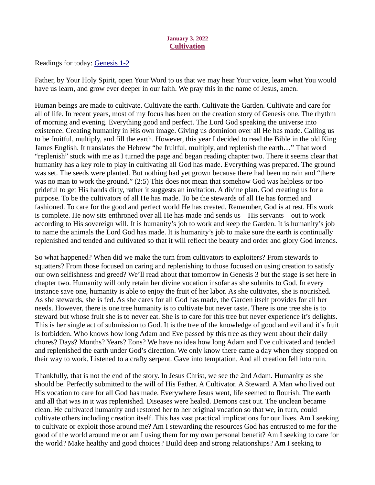## January 3, 2022 **Cultivation**

<span id="page-3-0"></span>Readings for today: [Genesis 1-2](https://www.biblegateway.com/passage/?search=Genesis+1-2&version=ESV)

Father, by Your Holy Spirit, open Your Word to us that we may hear Your voice, learn what You would have us learn, and grow ever deeper in our faith. We pray this in the name of Jesus, amen.

Human beings are made to cultivate. Cultivate the earth. Cultivate the Garden. Cultivate and care for all of life. In recent years, most of my focus has been on the creation story of Genesis one. The rhythm of morning and evening. Everything good and perfect. The Lord God speaking the universe into existence. Creating humanity in His own image. Giving us dominion over all He has made. Calling us to be fruitful, multiply, and fill the earth. However, this year I decided to read the Bible in the old King James English. It translates the Hebrew "be fruitful, multiply, and replenish the earth…" That word "replenish" stuck with me as I turned the page and began reading chapter two. There it seems clear that humanity has a key role to play in cultivating all God has made. Everything was prepared. The ground was set. The seeds were planted. But nothing had yet grown because there had been no rain and "there was no man to work the ground." (2:5) This does not mean that somehow God was helpless or too prideful to get His hands dirty, rather it suggests an invitation. A divine plan. God creating us for a purpose. To be the cultivators of all He has made. To be the stewards of all He has formed and fashioned. To care for the good and perfect world He has created. Remember, God is at rest. His work is complete. He now sits enthroned over all He has made and sends us – His servants – out to work according to His sovereign will. It is humanity's job to work and keep the Garden. It is humanity's job to name the animals the Lord God has made. It is humanity's job to make sure the earth is continually replenished and tended and cultivated so that it will reflect the beauty and order and glory God intends.

So what happened? When did we make the turn from cultivators to exploiters? From stewards to squatters? From those focused on caring and replenishing to those focused on using creation to satisfy our own selfishness and greed? We'll read about that tomorrow in Genesis 3 but the stage is set here in chapter two. Humanity will only retain her divine vocation insofar as she submits to God. In every instance save one, humanity is able to enjoy the fruit of her labor. As she cultivates, she is nourished. As she stewards, she is fed. As she cares for all God has made, the Garden itself provides for all her needs. However, there is one tree humanity is to cultivate but never taste. There is one tree she is to steward but whose fruit she is to never eat. She is to care for this tree but never experience it's delights. This is her single act of submission to God. It is the tree of the knowledge of good and evil and it's fruit is forbidden. Who knows how long Adam and Eve passed by this tree as they went about their daily chores? Days? Months? Years? Eons? We have no idea how long Adam and Eve cultivated and tended and replenished the earth under God's direction. We only know there came a day when they stopped on their way to work. Listened to a crafty serpent. Gave into temptation. And all creation fell into ruin.

Thankfully, that is not the end of the story. In Jesus Christ, we see the 2nd Adam. Humanity as she should be. Perfectly submitted to the will of His Father. A Cultivator. A Steward. A Man who lived out His vocation to care for all God has made. Everywhere Jesus went, life seemed to flourish. The earth and all that was in it was replenished. Diseases were healed. Demons cast out. The unclean became clean. He cultivated humanity and restored her to her original vocation so that we, in turn, could cultivate others including creation itself. This has vast practical implications for our lives. Am I seeking to cultivate or exploit those around me? Am I stewarding the resources God has entrusted to me for the good of the world around me or am I using them for my own personal benefit? Am I seeking to care for the world? Make healthy and good choices? Build deep and strong relationships? Am I seeking to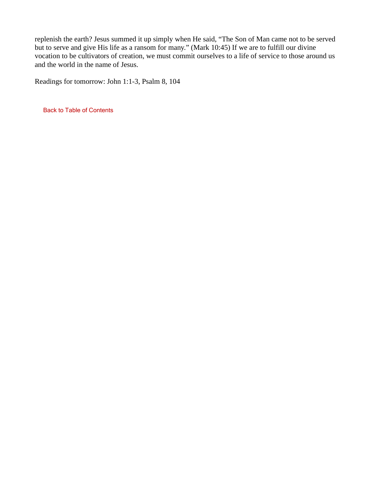replenish the earth? Jesus summed it up simply when He said, "The Son of Man came not to be served but to serve and give His life as a ransom for many." (Mark 10:45) If we are to fulfill our divine vocation to be cultivators of creation, we must commit ourselves to a life of service to those around us and the world in the name of Jesus.

Readings for tomorrow: John 1:1-3, Psalm 8, 104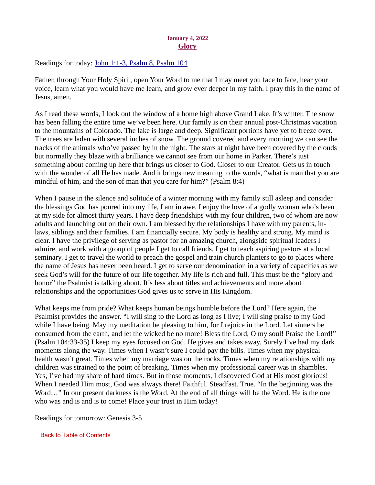## January 4, 2022 **Glory**

<span id="page-5-0"></span>Readings for today[: John 1:1-3, Psalm 8, Psalm 104](https://www.biblegateway.com/passage/?search=John+1%3A1-3%2C+Psalm+8%2C+Psalm+104&version=ESV)

Father, through Your Holy Spirit, open Your Word to me that I may meet you face to face, hear your voice, learn what you would have me learn, and grow ever deeper in my faith. I pray this in the name of Jesus, amen.

As I read these words, I look out the window of a home high above Grand Lake. It's winter. The snow has been falling the entire time we've been here. Our family is on their annual post-Christmas vacation to the mountains of Colorado. The lake is large and deep. Significant portions have yet to freeze over. The trees are laden with several inches of snow. The ground covered and every morning we can see the tracks of the animals who've passed by in the night. The stars at night have been covered by the clouds but normally they blaze with a brilliance we cannot see from our home in Parker. There's just something about coming up here that brings us closer to God. Closer to our Creator. Gets us in touch with the wonder of all He has made. And it brings new meaning to the words, "what is man that you are mindful of him, and the son of man that you care for him?" (Psalm 8:4)

When I pause in the silence and solitude of a winter morning with my family still asleep and consider the blessings God has poured into my life, I am in awe. I enjoy the love of a godly woman who's been at my side for almost thirty years. I have deep friendships with my four children, two of whom are now adults and launching out on their own. I am blessed by the relationships I have with my parents, inlaws, siblings and their families. I am financially secure. My body is healthy and strong. My mind is clear. I have the privilege of serving as pastor for an amazing church, alongside spiritual leaders I admire, and work with a group of people I get to call friends. I get to teach aspiring pastors at a local seminary. I get to travel the world to preach the gospel and train church planters to go to places where the name of Jesus has never been heard. I get to serve our denomination in a variety of capacities as we seek God's will for the future of our life together. My life is rich and full. This must be the "glory and honor" the Psalmist is talking about. It's less about titles and achievements and more about relationships and the opportunities God gives us to serve in His Kingdom.

What keeps me from pride? What keeps human beings humble before the Lord? Here again, the Psalmist provides the answer. "I will sing to the Lord as long as I live; I will sing praise to my God while I have being. May my meditation be pleasing to him, for I rejoice in the Lord. Let sinners be consumed from the earth, and let the wicked be no more! Bless the Lord, O my soul! Praise the Lord!" (Psalm 104:33-35) I keep my eyes focused on God. He gives and takes away. Surely I've had my dark moments along the way. Times when I wasn't sure I could pay the bills. Times when my physical health wasn't great. Times when my marriage was on the rocks. Times when my relationships with my children was strained to the point of breaking. Times when my professional career was in shambles. Yes, I've had my share of hard times. But in those moments, I discovered God at His most glorious! When I needed Him most, God was always there! Faithful. Steadfast. True. "In the beginning was the Word…" In our present darkness is the Word. At the end of all things will be the Word. He is the one who was and is and is to come! Place your trust in Him today!

Readings for tomorrow: Genesis 3-5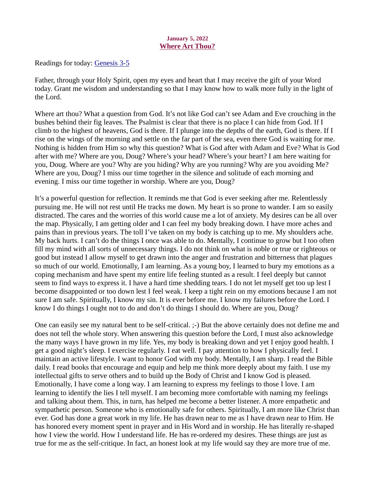## January 5, 2022 Where Art Thou?

<span id="page-6-0"></span>Readings for today: [Genesis 3-5](https://www.biblegateway.com/passage/?search=Genesis+3-5&version=ESV)

Father, through your Holy Spirit, open my eyes and heart that I may receive the gift of your Word today. Grant me wisdom and understanding so that I may know how to walk more fully in the light of the Lord.

Where art thou? What a question from God. It's not like God can't see Adam and Eve crouching in the bushes behind their fig leaves. The Psalmist is clear that there is no place I can hide from God. If I climb to the highest of heavens, God is there. If I plunge into the depths of the earth, God is there. If I rise on the wings of the morning and settle on the far part of the sea, even there God is waiting for me. Nothing is hidden from Him so why this question? What is God after with Adam and Eve? What is God after with me? Where are you, Doug? Where's your head? Where's your heart? I am here waiting for you, Doug. Where are you? Why are you hiding? Why are you running? Why are you avoiding Me? Where are you, Doug? I miss our time together in the silence and solitude of each morning and evening. I miss our time together in worship. Where are you, Doug?

It's a powerful question for reflection. It reminds me that God is ever seeking after me. Relentlessly pursuing me. He will not rest until He tracks me down. My heart is so prone to wander. I am so easily distracted. The cares and the worries of this world cause me a lot of anxiety. My desires can be all over the map. Physically, I am getting older and I can feel my body breaking down. I have more aches and pains than in previous years. The toll I've taken on my body is catching up to me. My shoulders ache. My back hurts. I can't do the things I once was able to do. Mentally, I continue to grow but I too often fill my mind with all sorts of unnecessary things. I do not think on what is noble or true or righteous or good but instead I allow myself to get drawn into the anger and frustration and bitterness that plagues so much of our world. Emotionally, I am learning. As a young boy, I learned to bury my emotions as a coping mechanism and have spent my entire life feeling stunted as a result. I feel deeply but cannot seem to find ways to express it. I have a hard time shedding tears. I do not let myself get too up lest I become disappointed or too down lest I feel weak. I keep a tight rein on my emotions because I am not sure I am safe. Spiritually, I know my sin. It is ever before me. I know my failures before the Lord. I know I do things I ought not to do and don't do things I should do. Where are you, Doug?

One can easily see my natural bent to be self-critical. ;-) But the above certainly does not define me and does not tell the whole story. When answering this question before the Lord, I must also acknowledge the many ways I have grown in my life. Yes, my body is breaking down and yet I enjoy good health. I get a good night's sleep. I exercise regularly. I eat well. I pay attention to how I physically feel. I maintain an active lifestyle. I want to honor God with my body. Mentally, I am sharp. I read the Bible daily. I read books that encourage and equip and help me think more deeply about my faith. I use my intellectual gifts to serve others and to build up the Body of Christ and I know God is pleased. Emotionally, I have come a long way. I am learning to express my feelings to those I love. I am learning to identify the lies I tell myself. I am becoming more comfortable with naming my feelings and talking about them. This, in turn, has helped me become a better listener. A more empathetic and sympathetic person. Someone who is emotionally safe for others. Spiritually, I am more like Christ than ever. God has done a great work in my life. He has drawn near to me as I have drawn near to Him. He has honored every moment spent in prayer and in His Word and in worship. He has literally re-shaped how I view the world. How I understand life. He has re-ordered my desires. These things are just as true for me as the self-critique. In fact, an honest look at my life would say they are more true of me.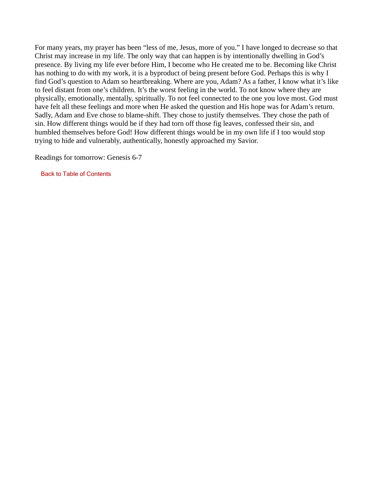For many years, my prayer has been "less of me, Jesus, more of you." I have longed to decrease so that Christ may increase in my life. The only way that can happen is by intentionally dwelling in God's presence. By living my life ever before Him, I become who He created me to be. Becoming like Christ has nothing to do with my work, it is a byproduct of being present before God. Perhaps this is why I find God's question to Adam so heartbreaking. Where are you, Adam? As a father, I know what it's like to feel distant from one's children. It's the worst feeling in the world. To not know where they are physically, emotionally, mentally, spiritually. To not feel connected to the one you love most. God must have felt all these feelings and more when He asked the question and His hope was for Adam's return. Sadly, Adam and Eve chose to blame-shift. They chose to justify themselves. They chose the path of sin. How different things would be if they had torn off those fig leaves, confessed their sin, and humbled themselves before God! How different things would be in my own life if I too would stop trying to hide and vulnerably, authentically, honestly approached my Savior.

Readings for tomorrow: Genesis 6-7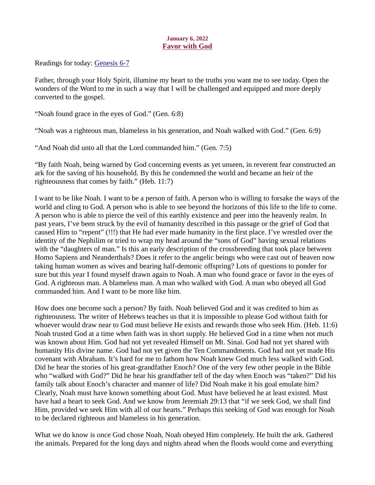# January 6, 2022 Favor with God

<span id="page-8-0"></span>Readings for today[: Genesis 6-7](https://www.biblegateway.com/passage/?search=Genesis+6-7&version=ESV)

Father, through your Holy Spirit, illumine my heart to the truths you want me to see today. Open the wonders of the Word to me in such a way that I will be challenged and equipped and more deeply converted to the gospel.

"Noah found grace in the eyes of God." (Gen. 6:8)

"Noah was a righteous man, blameless in his generation, and Noah walked with God." (Gen. 6:9)

"And Noah did unto all that the Lord commanded him." (Gen. 7:5)

"By faith Noah, being warned by God concerning events as yet unseen, in reverent fear constructed an ark for the saving of his household. By this he condemned the world and became an heir of the righteousness that comes by faith." (Heb. 11:7)

I want to be like Noah. I want to be a person of faith. A person who is willing to forsake the ways of the world and cling to God. A person who is able to see beyond the horizons of this life to the life to come. A person who is able to pierce the veil of this earthly existence and peer into the heavenly realm. In past years, I've been struck by the evil of humanity described in this passage or the grief of God that caused Him to "repent" (!!!) that He had ever made humanity in the first place. I've wrestled over the identity of the Nephilim or tried to wrap my head around the "sons of God" having sexual relations with the "daughters of man." Is this an early description of the crossbreeding that took place between Homo Sapiens and Neanderthals? Does it refer to the angelic beings who were cast out of heaven now taking human women as wives and bearing half-demonic offspring? Lots of questions to ponder for sure but this year I found myself drawn again to Noah. A man who found grace or favor in the eyes of God. A righteous man. A blameless man. A man who walked with God. A man who obeyed all God commanded him. And I want to be more like him.

How does one become such a person? By faith. Noah believed God and it was credited to him as righteousness. The writer of Hebrews teaches us that it is impossible to please God without faith for whoever would draw near to God must believe He exists and rewards those who seek Him. (Heb. 11:6) Noah trusted God at a time when faith was in short supply. He believed God in a time when not much was known about Him. God had not yet revealed Himself on Mt. Sinai. God had not yet shared with humanity His divine name. God had not yet given the Ten Commandments. God had not yet made His covenant with Abraham. It's hard for me to fathom how Noah knew God much less walked with God. Did he hear the stories of his great-grandfather Enoch? One of the very few other people in the Bible who "walked with God?" Did he hear his grandfather tell of the day when Enoch was "taken?" Did his family talk about Enoch's character and manner of life? Did Noah make it his goal emulate him? Clearly, Noah must have known something about God. Must have believed he at least existed. Must have had a heart to seek God. And we know from Jeremiah 29:13 that "if we seek God, we shall find Him, provided we seek Him with all of our hearts." Perhaps this seeking of God was enough for Noah to be declared righteous and blameless in his generation.

What we do know is once God chose Noah, Noah obeyed Him completely. He built the ark. Gathered the animals. Prepared for the long days and nights ahead when the floods would come and everything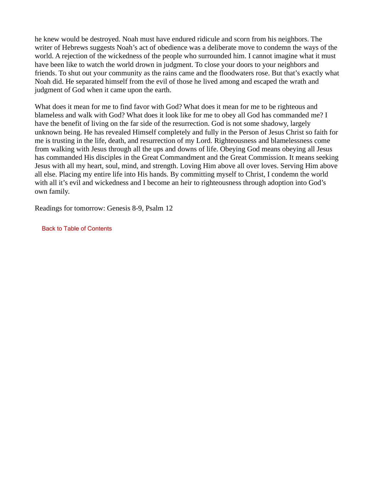he knew would be destroyed. Noah must have endured ridicule and scorn from his neighbors. The writer of Hebrews suggests Noah's act of obedience was a deliberate move to condemn the ways of the world. A rejection of the wickedness of the people who surrounded him. I cannot imagine what it must have been like to watch the world drown in judgment. To close your doors to your neighbors and friends. To shut out your community as the rains came and the floodwaters rose. But that's exactly what Noah did. He separated himself from the evil of those he lived among and escaped the wrath and judgment of God when it came upon the earth.

What does it mean for me to find favor with God? What does it mean for me to be righteous and blameless and walk with God? What does it look like for me to obey all God has commanded me? I have the benefit of living on the far side of the resurrection. God is not some shadowy, largely unknown being. He has revealed Himself completely and fully in the Person of Jesus Christ so faith for me is trusting in the life, death, and resurrection of my Lord. Righteousness and blamelessness come from walking with Jesus through all the ups and downs of life. Obeying God means obeying all Jesus has commanded His disciples in the Great Commandment and the Great Commission. It means seeking Jesus with all my heart, soul, mind, and strength. Loving Him above all over loves. Serving Him above all else. Placing my entire life into His hands. By committing myself to Christ, I condemn the world with all it's evil and wickedness and I become an heir to righteousness through adoption into God's own family.

Readings for tomorrow: Genesis 8-9, Psalm 12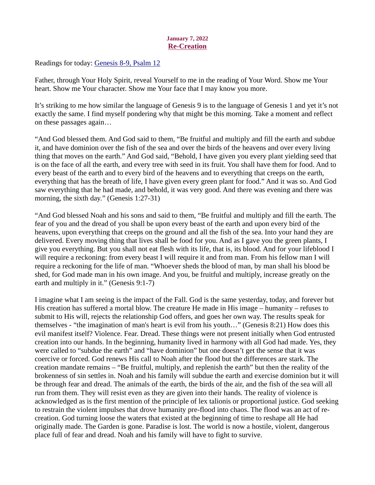## January 7, 2022 Re-Creation

<span id="page-10-0"></span>Readings for today[: Genesis 8-9, Psalm 12](https://www.biblegateway.com/passage/?search=Genesis+8-9%2C+Psalm+12&version=ESV)

Father, through Your Holy Spirit, reveal Yourself to me in the reading of Your Word. Show me Your heart. Show me Your character. Show me Your face that I may know you more.

It's striking to me how similar the language of Genesis 9 is to the language of Genesis 1 and yet it's not exactly the same. I find myself pondering why that might be this morning. Take a moment and reflect on these passages again…

"And God blessed them. And God said to them, "Be fruitful and multiply and fill the earth and subdue it, and have dominion over the fish of the sea and over the birds of the heavens and over every living thing that moves on the earth." And God said, "Behold, I have given you every plant yielding seed that is on the face of all the earth, and every tree with seed in its fruit. You shall have them for food. And to every beast of the earth and to every bird of the heavens and to everything that creeps on the earth, everything that has the breath of life, I have given every green plant for food." And it was so. And God saw everything that he had made, and behold, it was very good. And there was evening and there was morning, the sixth day." (Genesis 1:27-31)

"And God blessed Noah and his sons and said to them, "Be fruitful and multiply and fill the earth. The fear of you and the dread of you shall be upon every beast of the earth and upon every bird of the heavens, upon everything that creeps on the ground and all the fish of the sea. Into your hand they are delivered. Every moving thing that lives shall be food for you. And as I gave you the green plants, I give you everything. But you shall not eat flesh with its life, that is, its blood. And for your lifeblood I will require a reckoning: from every beast I will require it and from man. From his fellow man I will require a reckoning for the life of man. "Whoever sheds the blood of man, by man shall his blood be shed, for God made man in his own image. And you, be fruitful and multiply, increase greatly on the earth and multiply in it." (Genesis 9:1-7)

I imagine what I am seeing is the impact of the Fall. God is the same yesterday, today, and forever but His creation has suffered a mortal blow. The creature He made in His image – humanity – refuses to submit to His will, rejects the relationship God offers, and goes her own way. The results speak for themselves - "the imagination of man's heart is evil from his youth…" (Genesis 8:21) How does this evil manifest itself? Violence. Fear. Dread. These things were not present initially when God entrusted creation into our hands. In the beginning, humanity lived in harmony with all God had made. Yes, they were called to "subdue the earth" and "have dominion" but one doesn't get the sense that it was coercive or forced. God renews His call to Noah after the flood but the differences are stark. The creation mandate remains – "Be fruitful, multiply, and replenish the earth" but then the reality of the brokenness of sin settles in. Noah and his family will subdue the earth and exercise dominion but it will be through fear and dread. The animals of the earth, the birds of the air, and the fish of the sea will all run from them. They will resist even as they are given into their hands. The reality of violence is acknowledged as is the first mention of the principle of lex talionis or proportional justice. God seeking to restrain the violent impulses that drove humanity pre-flood into chaos. The flood was an act of recreation. God turning loose the waters that existed at the beginning of time to reshape all He had originally made. The Garden is gone. Paradise is lost. The world is now a hostile, violent, dangerous place full of fear and dread. Noah and his family will have to fight to survive.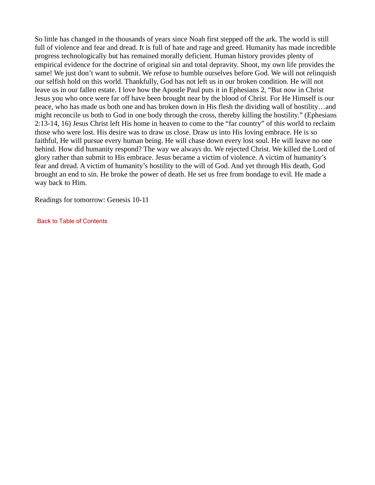So little has changed in the thousands of years since Noah first stepped off the ark. The world is still full of violence and fear and dread. It is full of hate and rage and greed. Humanity has made incredible progress technologically but has remained morally deficient. Human history provides plenty of empirical evidence for the doctrine of original sin and total depravity. Shoot, my own life provides the same! We just don't want to submit. We refuse to humble ourselves before God. We will not relinquish our selfish hold on this world. Thankfully, God has not left us in our broken condition. He will not leave us in our fallen estate. I love how the Apostle Paul puts it in Ephesians 2, "But now in Christ Jesus you who once were far off have been brought near by the blood of Christ. For He Himself is our peace, who has made us both one and has broken down in His flesh the dividing wall of hostility…and might reconcile us both to God in one body through the cross, thereby killing the hostility." (Ephesians 2:13-14, 16) Jesus Christ left His home in heaven to come to the "far country" of this world to reclaim those who were lost. His desire was to draw us close. Draw us into His loving embrace. He is so faithful, He will pursue every human being. He will chase down every lost soul. He will leave no one behind. How did humanity respond? The way we always do. We rejected Christ. We killed the Lord of glory rather than submit to His embrace. Jesus became a victim of violence. A victim of humanity's fear and dread. A victim of humanity's hostility to the will of God. And yet through His death, God brought an end to sin. He broke the power of death. He set us free from bondage to evil. He made a way back to Him.

Readings for tomorrow: Genesis 10-11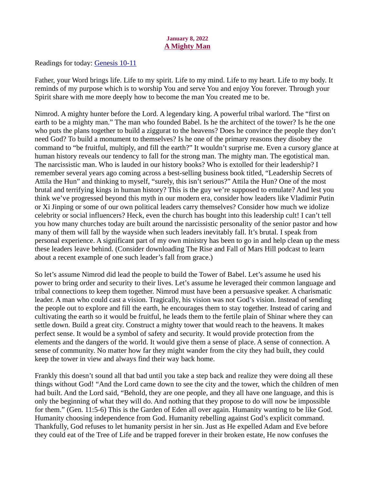## January 8, 2022 A Mighty Man

<span id="page-12-0"></span>Readings for toda[y: Genesis 10-11](https://www.biblegateway.com/passage/?search=Genesis+10-11&version=ESV)

Father, your Word brings life. Life to my spirit. Life to my mind. Life to my heart. Life to my body. It reminds of my purpose which is to worship You and serve You and enjoy You forever. Through your Spirit share with me more deeply how to become the man You created me to be.

Nimrod. A mighty hunter before the Lord. A legendary king. A powerful tribal warlord. The "first on earth to be a mighty man." The man who founded Babel. Is he the architect of the tower? Is he the one who puts the plans together to build a ziggurat to the heavens? Does he convince the people they don't need God? To build a monument to themselves? Is he one of the primary reasons they disobey the command to "be fruitful, multiply, and fill the earth?" It wouldn't surprise me. Even a cursory glance at human history reveals our tendency to fall for the strong man. The mighty man. The egotistical man. The narcissistic man. Who is lauded in our history books? Who is extolled for their leadership? I remember several years ago coming across a best-selling business book titled, "Leadership Secrets of Attila the Hun" and thinking to myself, "surely, this isn't serious?" Attila the Hun? One of the most brutal and terrifying kings in human history? This is the guy we're supposed to emulate? And lest you think we've progressed beyond this myth in our modern era, consider how leaders like Vladimir Putin or Xi Jinping or some of our own political leaders carry themselves? Consider how much we idolize celebrity or social influencers? Heck, even the church has bought into this leadership cult! I can't tell you how many churches today are built around the narcissistic personality of the senior pastor and how many of them will fall by the wayside when such leaders inevitably fall. It's brutal. I speak from personal experience. A significant part of my own ministry has been to go in and help clean up the mess these leaders leave behind. (Consider downloading The Rise and Fall of Mars Hill podcast to learn about a recent example of one such leader's fall from grace.)

So let's assume Nimrod did lead the people to build the Tower of Babel. Let's assume he used his power to bring order and security to their lives. Let's assume he leveraged their common language and tribal connections to keep them together. Nimrod must have been a persuasive speaker. A charismatic leader. A man who could cast a vision. Tragically, his vision was not God's vision. Instead of sending the people out to explore and fill the earth, he encourages them to stay together. Instead of caring and cultivating the earth so it would be fruitful, he leads them to the fertile plain of Shinar where they can settle down. Build a great city. Construct a mighty tower that would reach to the heavens. It makes perfect sense. It would be a symbol of safety and security. It would provide protection from the elements and the dangers of the world. It would give them a sense of place. A sense of connection. A sense of community. No matter how far they might wander from the city they had built, they could keep the tower in view and always find their way back home.

Frankly this doesn't sound all that bad until you take a step back and realize they were doing all these things without God! "And the Lord came down to see the city and the tower, which the children of men had built. And the Lord said, "Behold, they are one people, and they all have one language, and this is only the beginning of what they will do. And nothing that they propose to do will now be impossible for them." (Gen. 11:5-6) This is the Garden of Eden all over again. Humanity wanting to be like God. Humanity choosing independence from God. Humanity rebelling against God's explicit command. Thankfully, God refuses to let humanity persist in her sin. Just as He expelled Adam and Eve before they could eat of the Tree of Life and be trapped forever in their broken estate, He now confuses the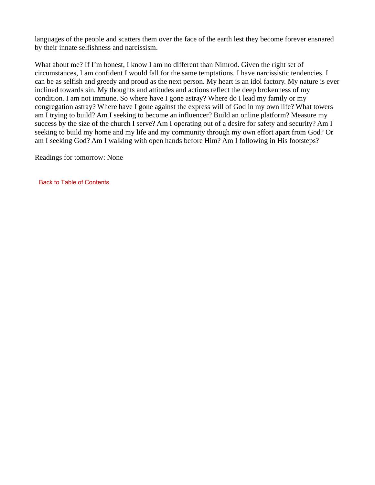languages of the people and scatters them over the face of the earth lest they become forever ensnared by their innate selfishness and narcissism.

What about me? If I'm honest, I know I am no different than Nimrod. Given the right set of circumstances, I am confident I would fall for the same temptations. I have narcissistic tendencies. I can be as selfish and greedy and proud as the next person. My heart is an idol factory. My nature is ever inclined towards sin. My thoughts and attitudes and actions reflect the deep brokenness of my condition. I am not immune. So where have I gone astray? Where do I lead my family or my congregation astray? Where have I gone against the express will of God in my own life? What towers am I trying to build? Am I seeking to become an influencer? Build an online platform? Measure my success by the size of the church I serve? Am I operating out of a desire for safety and security? Am I seeking to build my home and my life and my community through my own effort apart from God? Or am I seeking God? Am I walking with open hands before Him? Am I following in His footsteps?

Readings for tomorrow: None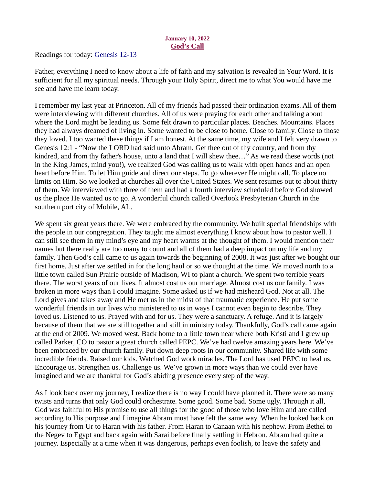## January 10, 2022 God's Call

<span id="page-14-0"></span>Readings for today[: Genesis 12-13](https://www.biblegateway.com/passage/?search=Genesis+12-13&version=ESV)

Father, everything I need to know about a life of faith and my salvation is revealed in Your Word. It is sufficient for all my spiritual needs. Through your Holy Spirit, direct me to what You would have me see and have me learn today.

I remember my last year at Princeton. All of my friends had passed their ordination exams. All of them were interviewing with different churches. All of us were praying for each other and talking about where the Lord might be leading us. Some felt drawn to particular places. Beaches. Mountains. Places they had always dreamed of living in. Some wanted to be close to home. Close to family. Close to those they loved. I too wanted these things if I am honest. At the same time, my wife and I felt very drawn to Genesis 12:1 - "Now the LORD had said unto Abram, Get thee out of thy country, and from thy kindred, and from thy father's house, unto a land that I will shew thee…" As we read these words (not in the King James, mind you!), we realized God was calling us to walk with open hands and an open heart before Him. To let Him guide and direct our steps. To go wherever He might call. To place no limits on Him. So we looked at churches all over the United States. We sent resumes out to about thirty of them. We interviewed with three of them and had a fourth interview scheduled before God showed us the place He wanted us to go. A wonderful church called Overlook Presbyterian Church in the southern port city of Mobile, AL.

We spent six great years there. We were embraced by the community. We built special friendships with the people in our congregation. They taught me almost everything I know about how to pastor well. I can still see them in my mind's eye and my heart warms at the thought of them. I would mention their names but there really are too many to count and all of them had a deep impact on my life and my family. Then God's call came to us again towards the beginning of 2008. It was just after we bought our first home. Just after we settled in for the long haul or so we thought at the time. We moved north to a little town called Sun Prairie outside of Madison, WI to plant a church. We spent two terrible years there. The worst years of our lives. It almost cost us our marriage. Almost cost us our family. I was broken in more ways than I could imagine. Some asked us if we had misheard God. Not at all. The Lord gives and takes away and He met us in the midst of that traumatic experience. He put some wonderful friends in our lives who ministered to us in ways I cannot even begin to describe. They loved us. Listened to us. Prayed with and for us. They were a sanctuary. A refuge. And it is largely because of them that we are still together and still in ministry today. Thankfully, God's call came again at the end of 2009. We moved west. Back home to a little town near where both Kristi and I grew up called Parker, CO to pastor a great church called PEPC. We've had twelve amazing years here. We've been embraced by our church family. Put down deep roots in our community. Shared life with some incredible friends. Raised our kids. Watched God work miracles. The Lord has used PEPC to heal us. Encourage us. Strengthen us. Challenge us. We've grown in more ways than we could ever have imagined and we are thankful for God's abiding presence every step of the way.

As I look back over my journey, I realize there is no way I could have planned it. There were so many twists and turns that only God could orchestrate. Some good. Some bad. Some ugly. Through it all, God was faithful to His promise to use all things for the good of those who love Him and are called according to His purpose and I imagine Abram must have felt the same way. When he looked back on his journey from Ur to Haran with his father. From Haran to Canaan with his nephew. From Bethel to the Negev to Egypt and back again with Sarai before finally settling in Hebron. Abram had quite a journey. Especially at a time when it was dangerous, perhaps even foolish, to leave the safety and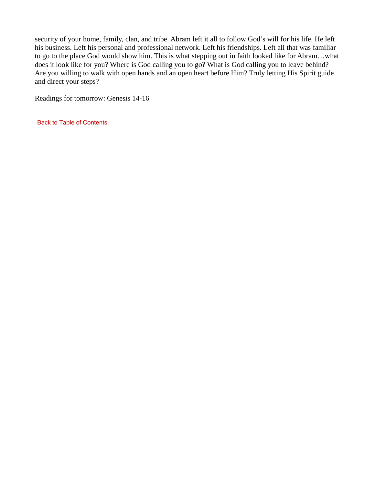security of your home, family, clan, and tribe. Abram left it all to follow God's will for his life. He left his business. Left his personal and professional network. Left his friendships. Left all that was familiar to go to the place God would show him. This is what stepping out in faith looked like for Abram…what does it look like for you? Where is God calling you to go? What is God calling you to leave behind? Are you willing to walk with open hands and an open heart before Him? Truly letting His Spirit guide and direct your steps?

Readings for tomorrow: Genesis 14-16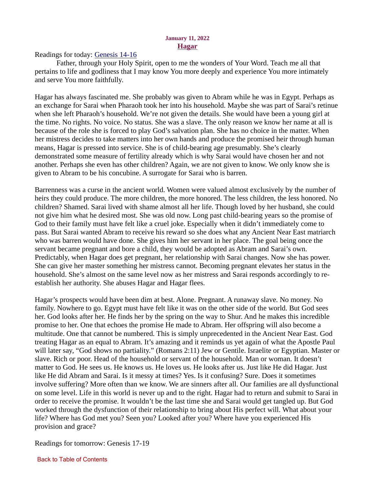#### January 11, 2022 Hagar

<span id="page-16-0"></span>Readings for today[: Genesis 14-16](https://www.biblegateway.com/passage/?search=Genesis+14-16&version=ESV)

Father, through your Holy Spirit, open to me the wonders of Your Word. Teach me all that pertains to life and godliness that I may know You more deeply and experience You more intimately and serve You more faithfully.

Hagar has always fascinated me. She probably was given to Abram while he was in Egypt. Perhaps as an exchange for Sarai when Pharaoh took her into his household. Maybe she was part of Sarai's retinue when she left Pharaoh's household. We're not given the details. She would have been a young girl at the time. No rights. No voice. No status. She was a slave. The only reason we know her name at all is because of the role she is forced to play God's salvation plan. She has no choice in the matter. When her mistress decides to take matters into her own hands and produce the promised heir through human means, Hagar is pressed into service. She is of child-bearing age presumably. She's clearly demonstrated some measure of fertility already which is why Sarai would have chosen her and not another. Perhaps she even has other children? Again, we are not given to know. We only know she is given to Abram to be his concubine. A surrogate for Sarai who is barren.

Barrenness was a curse in the ancient world. Women were valued almost exclusively by the number of heirs they could produce. The more children, the more honored. The less children, the less honored. No children? Shamed. Sarai lived with shame almost all her life. Though loved by her husband, she could not give him what he desired most. She was old now. Long past child-bearing years so the promise of God to their family must have felt like a cruel joke. Especially when it didn't immediately come to pass. But Sarai wanted Abram to receive his reward so she does what any Ancient Near East matriarch who was barren would have done. She gives him her servant in her place. The goal being once the servant became pregnant and bore a child, they would be adopted as Abram and Sarai's own. Predictably, when Hagar does get pregnant, her relationship with Sarai changes. Now she has power. She can give her master something her mistress cannot. Becoming pregnant elevates her status in the household. She's almost on the same level now as her mistress and Sarai responds accordingly to reestablish her authority. She abuses Hagar and Hagar flees.

Hagar's prospects would have been dim at best. Alone. Pregnant. A runaway slave. No money. No family. Nowhere to go. Egypt must have felt like it was on the other side of the world. But God sees her. God looks after her. He finds her by the spring on the way to Shur. And he makes this incredible promise to her. One that echoes the promise He made to Abram. Her offspring will also become a multitude. One that cannot be numbered. This is simply unprecedented in the Ancient Near East. God treating Hagar as an equal to Abram. It's amazing and it reminds us yet again of what the Apostle Paul will later say, "God shows no partiality." (Romans 2:11) Jew or Gentile. Israelite or Egyptian. Master or slave. Rich or poor. Head of the household or servant of the household. Man or woman. It doesn't matter to God. He sees us. He knows us. He loves us. He looks after us. Just like He did Hagar. Just like He did Abram and Sarai. Is it messy at times? Yes. Is it confusing? Sure. Does it sometimes involve suffering? More often than we know. We are sinners after all. Our families are all dysfunctional on some level. Life in this world is never up and to the right. Hagar had to return and submit to Sarai in order to receive the promise. It wouldn't be the last time she and Sarai would get tangled up. But God worked through the dysfunction of their relationship to bring about His perfect will. What about your life? Where has God met you? Seen you? Looked after you? Where have you experienced His provision and grace?

Readings for tomorrow: Genesis 17-19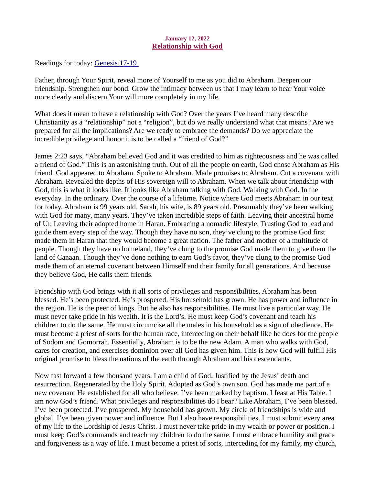## January 12, 2022 Relationship with God

<span id="page-17-0"></span>Readings for toda[y: Genesis 17-19](https://www.biblegateway.com/passage/?search=Genesis+17-19+&version=ESV) 

Father, through Your Spirit, reveal more of Yourself to me as you did to Abraham. Deepen our friendship. Strengthen our bond. Grow the intimacy between us that I may learn to hear Your voice more clearly and discern Your will more completely in my life.

What does it mean to have a relationship with God? Over the years I've heard many describe Christianity as a "relationship" not a "religion", but do we really understand what that means? Are we prepared for all the implications? Are we ready to embrace the demands? Do we appreciate the incredible privilege and honor it is to be called a "friend of God?"

James 2:23 says, "Abraham believed God and it was credited to him as righteousness and he was called a friend of God." This is an astonishing truth. Out of all the people on earth, God chose Abraham as His friend. God appeared to Abraham. Spoke to Abraham. Made promises to Abraham. Cut a covenant with Abraham. Revealed the depths of His sovereign will to Abraham. When we talk about friendship with God, this is what it looks like. It looks like Abraham talking with God. Walking with God. In the everyday. In the ordinary. Over the course of a lifetime. Notice where God meets Abraham in our text for today. Abraham is 99 years old. Sarah, his wife, is 89 years old. Presumably they've been walking with God for many, many years. They've taken incredible steps of faith. Leaving their ancestral home of Ur. Leaving their adopted home in Haran. Embracing a nomadic lifestyle. Trusting God to lead and guide them every step of the way. Though they have no son, they've clung to the promise God first made them in Haran that they would become a great nation. The father and mother of a multitude of people. Though they have no homeland, they've clung to the promise God made them to give them the land of Canaan. Though they've done nothing to earn God's favor, they've clung to the promise God made them of an eternal covenant between Himself and their family for all generations. And because they believe God, He calls them friends.

Friendship with God brings with it all sorts of privileges and responsibilities. Abraham has been blessed. He's been protected. He's prospered. His household has grown. He has power and influence in the region. He is the peer of kings. But he also has responsibilities. He must live a particular way. He must never take pride in his wealth. It is the Lord's. He must keep God's covenant and teach his children to do the same. He must circumcise all the males in his household as a sign of obedience. He must become a priest of sorts for the human race, interceding on their behalf like he does for the people of Sodom and Gomorrah. Essentially, Abraham is to be the new Adam. A man who walks with God, cares for creation, and exercises dominion over all God has given him. This is how God will fulfill His original promise to bless the nations of the earth through Abraham and his descendants.

Now fast forward a few thousand years. I am a child of God. Justified by the Jesus' death and resurrection. Regenerated by the Holy Spirit. Adopted as God's own son. God has made me part of a new covenant He established for all who believe. I've been marked by baptism. I feast at His Table. I am now God's friend. What privileges and responsibilities do I bear? Like Abraham, I've been blessed. I've been protected. I've prospered. My household has grown. My circle of friendships is wide and global. I've been given power and influence. But I also have responsibilities. I must submit every area of my life to the Lordship of Jesus Christ. I must never take pride in my wealth or power or position. I must keep God's commands and teach my children to do the same. I must embrace humility and grace and forgiveness as a way of life. I must become a priest of sorts, interceding for my family, my church,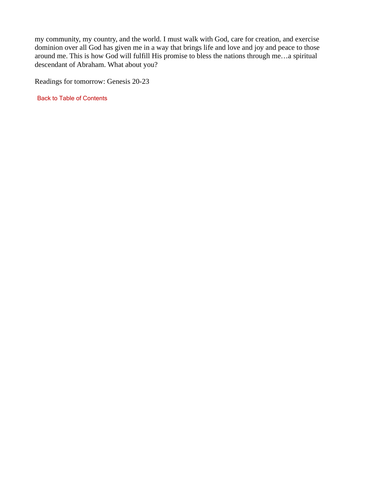my community, my country, and the world. I must walk with God, care for creation, and exercise dominion over all God has given me in a way that brings life and love and joy and peace to those around me. This is how God will fulfill His promise to bless the nations through me…a spiritual descendant of Abraham. What about you?

Readings for tomorrow: Genesis 20-23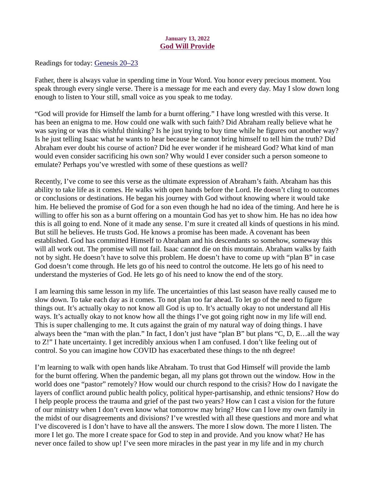#### January 13, 2022 God Will Provide

<span id="page-19-0"></span>Readings for today[: Genesis 20–23](https://www.biblegateway.com/passage/?search=Genesis+20%E2%80%9323&version=ESV)

Father, there is always value in spending time in Your Word. You honor every precious moment. You speak through every single verse. There is a message for me each and every day. May I slow down long enough to listen to Your still, small voice as you speak to me today.

"God will provide for Himself the lamb for a burnt offering." I have long wrestled with this verse. It has been an enigma to me. How could one walk with such faith? Did Abraham really believe what he was saying or was this wishful thinking? Is he just trying to buy time while he figures out another way? Is he just telling Isaac what he wants to hear because he cannot bring himself to tell him the truth? Did Abraham ever doubt his course of action? Did he ever wonder if he misheard God? What kind of man would even consider sacrificing his own son? Why would I ever consider such a person someone to emulate? Perhaps you've wrestled with some of these questions as well?

Recently, I've come to see this verse as the ultimate expression of Abraham's faith. Abraham has this ability to take life as it comes. He walks with open hands before the Lord. He doesn't cling to outcomes or conclusions or destinations. He began his journey with God without knowing where it would take him. He believed the promise of God for a son even though he had no idea of the timing. And here he is willing to offer his son as a burnt offering on a mountain God has yet to show him. He has no idea how this is all going to end. None of it made any sense. I'm sure it created all kinds of questions in his mind. But still he believes. He trusts God. He knows a promise has been made. A covenant has been established. God has committed Himself to Abraham and his descendants so somehow, someway this will all work out. The promise will not fail. Isaac cannot die on this mountain. Abraham walks by faith not by sight. He doesn't have to solve this problem. He doesn't have to come up with "plan B" in case God doesn't come through. He lets go of his need to control the outcome. He lets go of his need to understand the mysteries of God. He lets go of his need to know the end of the story.

I am learning this same lesson in my life. The uncertainties of this last season have really caused me to slow down. To take each day as it comes. To not plan too far ahead. To let go of the need to figure things out. It's actually okay to not know all God is up to. It's actually okay to not understand all His ways. It's actually okay to not know how all the things I've got going right now in my life will end. This is super challenging to me. It cuts against the grain of my natural way of doing things. I have always been the "man with the plan." In fact, I don't just have "plan B" but plans "C, D, E…all the way to Z!" I hate uncertainty. I get incredibly anxious when I am confused. I don't like feeling out of control. So you can imagine how COVID has exacerbated these things to the nth degree!

I'm learning to walk with open hands like Abraham. To trust that God Himself will provide the lamb for the burnt offering. When the pandemic began, all my plans got thrown out the window. How in the world does one "pastor" remotely? How would our church respond to the crisis? How do I navigate the layers of conflict around public health policy, political hyper-partisanship, and ethnic tensions? How do I help people process the trauma and grief of the past two years? How can I cast a vision for the future of our ministry when I don't even know what tomorrow may bring? How can I love my own family in the midst of our disagreements and divisions? I've wrestled with all these questions and more and what I've discovered is I don't have to have all the answers. The more I slow down. The more I listen. The more I let go. The more I create space for God to step in and provide. And you know what? He has never once failed to show up! I've seen more miracles in the past year in my life and in my church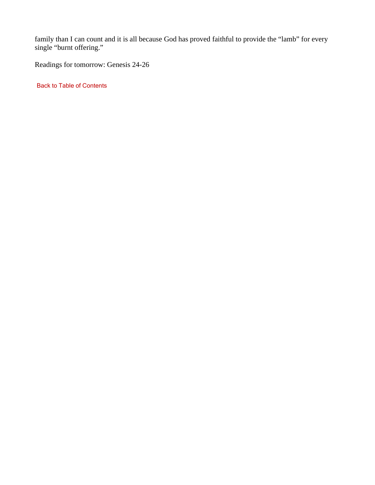family than I can count and it is all because God has proved faithful to provide the "lamb" for every single "burnt offering."

Readings for tomorrow: Genesis 24-26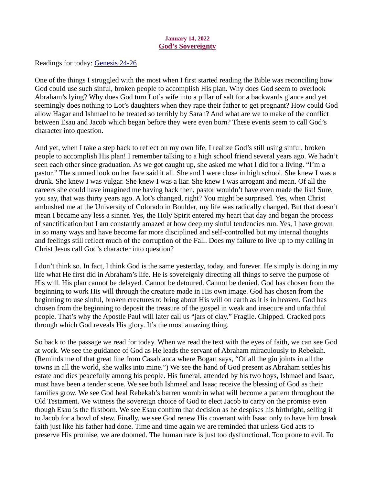## January 14, 2022 God's Sovereignty

<span id="page-21-0"></span>Readings for today[: Genesis 24-26](https://www.biblegateway.com/passage/?search=Genesis+24-26&version=ESV)

One of the things I struggled with the most when I first started reading the Bible was reconciling how God could use such sinful, broken people to accomplish His plan. Why does God seem to overlook Abraham's lying? Why does God turn Lot's wife into a pillar of salt for a backwards glance and yet seemingly does nothing to Lot's daughters when they rape their father to get pregnant? How could God allow Hagar and Ishmael to be treated so terribly by Sarah? And what are we to make of the conflict between Esau and Jacob which began before they were even born? These events seem to call God's character into question.

And yet, when I take a step back to reflect on my own life, I realize God's still using sinful, broken people to accomplish His plan! I remember talking to a high school friend several years ago. We hadn't seen each other since graduation. As we got caught up, she asked me what I did for a living. "I'm a pastor." The stunned look on her face said it all. She and I were close in high school. She knew I was a drunk. She knew I was vulgar. She knew I was a liar. She knew I was arrogant and mean. Of all the careers she could have imagined me having back then, pastor wouldn't have even made the list! Sure, you say, that was thirty years ago. A lot's changed, right? You might be surprised. Yes, when Christ ambushed me at the University of Colorado in Boulder, my life was radically changed. But that doesn't mean I became any less a sinner. Yes, the Holy Spirit entered my heart that day and began the process of sanctification but I am constantly amazed at how deep my sinful tendencies run. Yes, I have grown in so many ways and have become far more disciplined and self-controlled but my internal thoughts and feelings still reflect much of the corruption of the Fall. Does my failure to live up to my calling in Christ Jesus call God's character into question?

I don't think so. In fact, I think God is the same yesterday, today, and forever. He simply is doing in my life what He first did in Abraham's life. He is sovereignly directing all things to serve the purpose of His will. His plan cannot be delayed. Cannot be detoured. Cannot be denied. God has chosen from the beginning to work His will through the creature made in His own image. God has chosen from the beginning to use sinful, broken creatures to bring about His will on earth as it is in heaven. God has chosen from the beginning to deposit the treasure of the gospel in weak and insecure and unfaithful people. That's why the Apostle Paul will later call us "jars of clay." Fragile. Chipped. Cracked pots through which God reveals His glory. It's the most amazing thing.

So back to the passage we read for today. When we read the text with the eyes of faith, we can see God at work. We see the guidance of God as He leads the servant of Abraham miraculously to Rebekah. (Reminds me of that great line from Casablanca where Bogart says, "Of all the gin joints in all the towns in all the world, she walks into mine.") We see the hand of God present as Abraham settles his estate and dies peacefully among his people. His funeral, attended by his two boys, Ishmael and Isaac, must have been a tender scene. We see both Ishmael and Isaac receive the blessing of God as their families grow. We see God heal Rebekah's barren womb in what will become a pattern throughout the Old Testament. We witness the sovereign choice of God to elect Jacob to carry on the promise even though Esau is the firstborn. We see Esau confirm that decision as he despises his birthright, selling it to Jacob for a bowl of stew. Finally, we see God renew His covenant with Isaac only to have him break faith just like his father had done. Time and time again we are reminded that unless God acts to preserve His promise, we are doomed. The human race is just too dysfunctional. Too prone to evil. To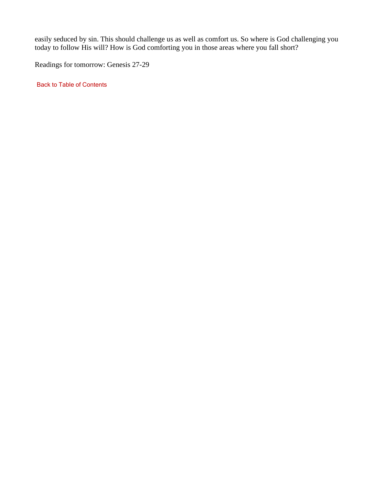easily seduced by sin. This should challenge us as well as comfort us. So where is God challenging you today to follow His will? How is God comforting you in those areas where you fall short?

Readings for tomorrow: Genesis 27-29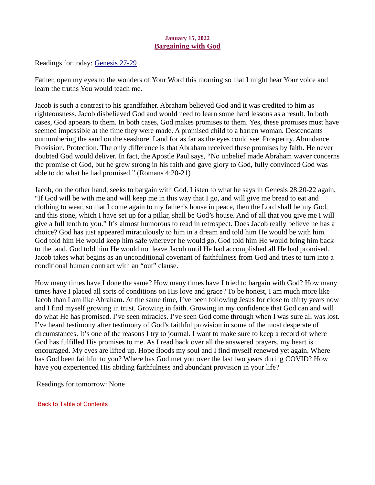## January 15, 2022 Bargaining with God

<span id="page-23-0"></span>Readings for toda[y: Genesis 27-29](https://www.biblegateway.com/passage/?search=Genesis+27-29&version=ESV)

Father, open my eyes to the wonders of Your Word this morning so that I might hear Your voice and learn the truths You would teach me.

Jacob is such a contrast to his grandfather. Abraham believed God and it was credited to him as righteousness. Jacob disbelieved God and would need to learn some hard lessons as a result. In both cases, God appears to them. In both cases, God makes promises to them. Yes, these promises must have seemed impossible at the time they were made. A promised child to a barren woman. Descendants outnumbering the sand on the seashore. Land for as far as the eyes could see. Prosperity. Abundance. Provision. Protection. The only difference is that Abraham received these promises by faith. He never doubted God would deliver. In fact, the Apostle Paul says, "No unbelief made Abraham waver concerns the promise of God, but he grew strong in his faith and gave glory to God, fully convinced God was able to do what he had promised." (Romans 4:20-21)

Jacob, on the other hand, seeks to bargain with God. Listen to what he says in Genesis 28:20-22 again, "If God will be with me and will keep me in this way that I go, and will give me bread to eat and clothing to wear, so that I come again to my father's house in peace, then the Lord shall be my God, and this stone, which I have set up for a pillar, shall be God's house. And of all that you give me I will give a full tenth to you." It's almost humorous to read in retrospect. Does Jacob really believe he has a choice? God has just appeared miraculously to him in a dream and told him He would be with him. God told him He would keep him safe wherever he would go. God told him He would bring him back to the land. God told him He would not leave Jacob until He had accomplished all He had promised. Jacob takes what begins as an unconditional covenant of faithfulness from God and tries to turn into a conditional human contract with an "out" clause.

How many times have I done the same? How many times have I tried to bargain with God? How many times have I placed all sorts of conditions on His love and grace? To be honest, I am much more like Jacob than I am like Abraham. At the same time, I've been following Jesus for close to thirty years now and I find myself growing in trust. Growing in faith. Growing in my confidence that God can and will do what He has promised. I've seen miracles. I've seen God come through when I was sure all was lost. I've heard testimony after testimony of God's faithful provision in some of the most desperate of circumstances. It's one of the reasons I try to journal. I want to make sure to keep a record of where God has fulfilled His promises to me. As I read back over all the answered prayers, my heart is encouraged. My eyes are lifted up. Hope floods my soul and I find myself renewed yet again. Where has God been faithful to you? Where has God met you over the last two years during COVID? How have you experienced His abiding faithfulness and abundant provision in your life?

Readings for tomorrow: None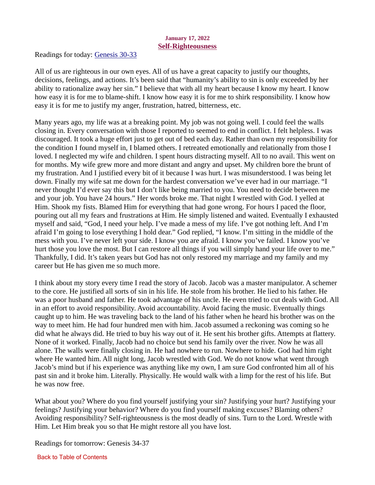## January 17, 2022 Self-Righteousness

<span id="page-24-0"></span>Readings for today[: Genesis 30-33](https://www.biblegateway.com/passage/?search=Genesis+30-33&version=ESV)

All of us are righteous in our own eyes. All of us have a great capacity to justify our thoughts, decisions, feelings, and actions. It's been said that "humanity's ability to sin is only exceeded by her ability to rationalize away her sin." I believe that with all my heart because I know my heart. I know how easy it is for me to blame-shift. I know how easy it is for me to shirk responsibility. I know how easy it is for me to justify my anger, frustration, hatred, bitterness, etc.

Many years ago, my life was at a breaking point. My job was not going well. I could feel the walls closing in. Every conversation with those I reported to seemed to end in conflict. I felt helpless. I was discouraged. It took a huge effort just to get out of bed each day. Rather than own my responsibility for the condition I found myself in, I blamed others. I retreated emotionally and relationally from those I loved. I neglected my wife and children. I spent hours distracting myself. All to no avail. This went on for months. My wife grew more and more distant and angry and upset. My children bore the brunt of my frustration. And I justified every bit of it because I was hurt. I was misunderstood. I was being let down. Finally my wife sat me down for the hardest conversation we've ever had in our marriage. "I never thought I'd ever say this but I don't like being married to you. You need to decide between me and your job. You have 24 hours." Her words broke me. That night I wrestled with God. I yelled at Him. Shook my fists. Blamed Him for everything that had gone wrong. For hours I paced the floor, pouring out all my fears and frustrations at Him. He simply listened and waited. Eventually I exhausted myself and said, "God, I need your help. I've made a mess of my life. I've got nothing left. And I'm afraid I'm going to lose everything I hold dear." God replied, "I know. I'm sitting in the middle of the mess with you. I've never left your side. I know you are afraid. I know you've failed. I know you've hurt those you love the most. But I can restore all things if you will simply hand your life over to me." Thankfully, I did. It's taken years but God has not only restored my marriage and my family and my career but He has given me so much more.

I think about my story every time I read the story of Jacob. Jacob was a master manipulator. A schemer to the core. He justified all sorts of sin in his life. He stole from his brother. He lied to his father. He was a poor husband and father. He took advantage of his uncle. He even tried to cut deals with God. All in an effort to avoid responsibility. Avoid accountability. Avoid facing the music. Eventually things caught up to him. He was traveling back to the land of his father when he heard his brother was on the way to meet him. He had four hundred men with him. Jacob assumed a reckoning was coming so he did what he always did. He tried to buy his way out of it. He sent his brother gifts. Attempts at flattery. None of it worked. Finally, Jacob had no choice but send his family over the river. Now he was all alone. The walls were finally closing in. He had nowhere to run. Nowhere to hide. God had him right where He wanted him. All night long, Jacob wrestled with God. We do not know what went through Jacob's mind but if his experience was anything like my own, I am sure God confronted him all of his past sin and it broke him. Literally. Physically. He would walk with a limp for the rest of his life. But he was now free.

What about you? Where do you find yourself justifying your sin? Justifying your hurt? Justifying your feelings? Justifying your behavior? Where do you find yourself making excuses? Blaming others? Avoiding responsibility? Self-righteousness is the most deadly of sins. Turn to the Lord. Wrestle with Him. Let Him break you so that He might restore all you have lost.

Readings for tomorrow: Genesis 34-37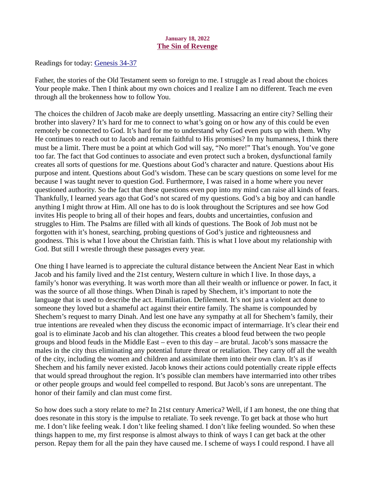## January 18, 2022 The Sin of Revenge

<span id="page-25-0"></span>Readings for today[: Genesis 34-37](https://www.biblegateway.com/passage/?search=Genesis+34-37&version=ESV)

Father, the stories of the Old Testament seem so foreign to me. I struggle as I read about the choices Your people make. Then I think about my own choices and I realize I am no different. Teach me even through all the brokenness how to follow You.

The choices the children of Jacob make are deeply unsettling. Massacring an entire city? Selling their brother into slavery? It's hard for me to connect to what's going on or how any of this could be even remotely be connected to God. It's hard for me to understand why God even puts up with them. Why He continues to reach out to Jacob and remain faithful to His promises? In my humanness, I think there must be a limit. There must be a point at which God will say, "No more!" That's enough. You've gone too far. The fact that God continues to associate and even protect such a broken, dysfunctional family creates all sorts of questions for me. Questions about God's character and nature. Questions about His purpose and intent. Questions about God's wisdom. These can be scary questions on some level for me because I was taught never to question God. Furthermore, I was raised in a home where you never questioned authority. So the fact that these questions even pop into my mind can raise all kinds of fears. Thankfully, I learned years ago that God's not scared of my questions. God's a big boy and can handle anything I might throw at Him. All one has to do is look throughout the Scriptures and see how God invites His people to bring all of their hopes and fears, doubts and uncertainties, confusion and struggles to Him. The Psalms are filled with all kinds of questions. The Book of Job must not be forgotten with it's honest, searching, probing questions of God's justice and righteousness and goodness. This is what I love about the Christian faith. This is what I love about my relationship with God. But still I wrestle through these passages every year.

One thing I have learned is to appreciate the cultural distance between the Ancient Near East in which Jacob and his family lived and the 21st century, Western culture in which I live. In those days, a family's honor was everything. It was worth more than all their wealth or influence or power. In fact, it was the source of all those things. When Dinah is raped by Shechem, it's important to note the language that is used to describe the act. Humiliation. Defilement. It's not just a violent act done to someone they loved but a shameful act against their entire family. The shame is compounded by Shechem's request to marry Dinah. And lest one have any sympathy at all for Shechem's family, their true intentions are revealed when they discuss the economic impact of intermarriage. It's clear their end goal is to eliminate Jacob and his clan altogether. This creates a blood feud between the two people groups and blood feuds in the Middle East – even to this day – are brutal. Jacob's sons massacre the males in the city thus eliminating any potential future threat or retaliation. They carry off all the wealth of the city, including the women and children and assimilate them into their own clan. It's as if Shechem and his family never existed. Jacob knows their actions could potentially create ripple effects that would spread throughout the region. It's possible clan members have intermarried into other tribes or other people groups and would feel compelled to respond. But Jacob's sons are unrepentant. The honor of their family and clan must come first.

So how does such a story relate to me? In 21st century America? Well, if I am honest, the one thing that does resonate in this story is the impulse to retaliate. To seek revenge. To get back at those who hurt me. I don't like feeling weak. I don't like feeling shamed. I don't like feeling wounded. So when these things happen to me, my first response is almost always to think of ways I can get back at the other person. Repay them for all the pain they have caused me. I scheme of ways I could respond. I have all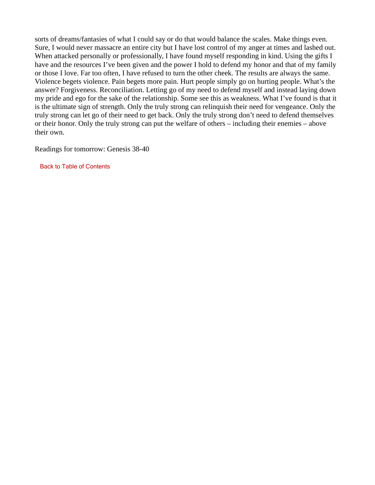sorts of dreams/fantasies of what I could say or do that would balance the scales. Make things even. Sure, I would never massacre an entire city but I have lost control of my anger at times and lashed out. When attacked personally or professionally, I have found myself responding in kind. Using the gifts I have and the resources I've been given and the power I hold to defend my honor and that of my family or those I love. Far too often, I have refused to turn the other cheek. The results are always the same. Violence begets violence. Pain begets more pain. Hurt people simply go on hurting people. What's the answer? Forgiveness. Reconciliation. Letting go of my need to defend myself and instead laying down my pride and ego for the sake of the relationship. Some see this as weakness. What I've found is that it is the ultimate sign of strength. Only the truly strong can relinquish their need for vengeance. Only the truly strong can let go of their need to get back. Only the truly strong don't need to defend themselves or their honor. Only the truly strong can put the welfare of others – including their enemies – above their own.

Readings for tomorrow: Genesis 38-40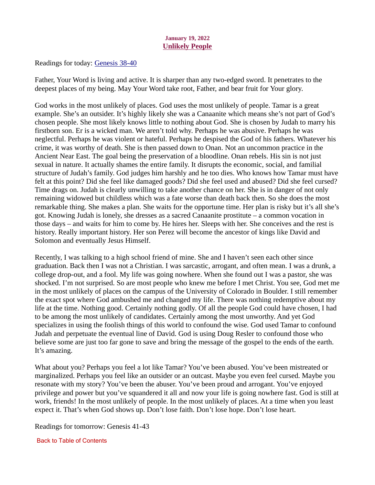## January 19, 2022 Unlikely People

<span id="page-27-0"></span>Readings for toda[y: Genesis 38-40](https://www.biblegateway.com/passage/?search=Genesis+38-40&version=ESV)

Father, Your Word is living and active. It is sharper than any two-edged sword. It penetrates to the deepest places of my being. May Your Word take root, Father, and bear fruit for Your glory.

God works in the most unlikely of places. God uses the most unlikely of people. Tamar is a great example. She's an outsider. It's highly likely she was a Canaanite which means she's not part of God's chosen people. She most likely knows little to nothing about God. She is chosen by Judah to marry his firstborn son. Er is a wicked man. We aren't told why. Perhaps he was abusive. Perhaps he was neglectful. Perhaps he was violent or hateful. Perhaps he despised the God of his fathers. Whatever his crime, it was worthy of death. She is then passed down to Onan. Not an uncommon practice in the Ancient Near East. The goal being the preservation of a bloodline. Onan rebels. His sin is not just sexual in nature. It actually shames the entire family. It disrupts the economic, social, and familial structure of Judah's family. God judges him harshly and he too dies. Who knows how Tamar must have felt at this point? Did she feel like damaged goods? Did she feel used and abused? Did she feel cursed? Time drags on. Judah is clearly unwilling to take another chance on her. She is in danger of not only remaining widowed but childless which was a fate worse than death back then. So she does the most remarkable thing. She makes a plan. She waits for the opportune time. Her plan is risky but it's all she's got. Knowing Judah is lonely, she dresses as a sacred Canaanite prostitute – a common vocation in those days – and waits for him to come by. He hires her. Sleeps with her. She conceives and the rest is history. Really important history. Her son Perez will become the ancestor of kings like David and Solomon and eventually Jesus Himself.

Recently, I was talking to a high school friend of mine. She and I haven't seen each other since graduation. Back then I was not a Christian. I was sarcastic, arrogant, and often mean. I was a drunk, a college drop-out, and a fool. My life was going nowhere. When she found out I was a pastor, she was shocked. I'm not surprised. So are most people who knew me before I met Christ. You see, God met me in the most unlikely of places on the campus of the University of Colorado in Boulder. I still remember the exact spot where God ambushed me and changed my life. There was nothing redemptive about my life at the time. Nothing good. Certainly nothing godly. Of all the people God could have chosen, I had to be among the most unlikely of candidates. Certainly among the most unworthy. And yet God specializes in using the foolish things of this world to confound the wise. God used Tamar to confound Judah and perpetuate the eventual line of David. God is using Doug Resler to confound those who believe some are just too far gone to save and bring the message of the gospel to the ends of the earth. It's amazing.

What about you? Perhaps you feel a lot like Tamar? You've been abused. You've been mistreated or marginalized. Perhaps you feel like an outsider or an outcast. Maybe you even feel cursed. Maybe you resonate with my story? You've been the abuser. You've been proud and arrogant. You've enjoyed privilege and power but you've squandered it all and now your life is going nowhere fast. God is still at work, friends! In the most unlikely of people. In the most unlikely of places. At a time when you least expect it. That's when God shows up. Don't lose faith. Don't lose hope. Don't lose heart.

Readings for tomorrow: Genesis 41-43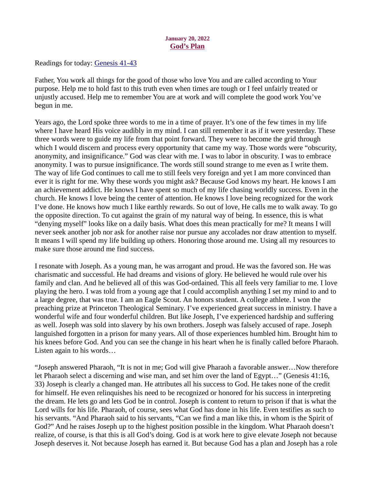### January 20, 2022 God's Plan

<span id="page-28-0"></span>Readings for today[: Genesis 41-43](https://www.biblegateway.com/passage/?search=Genesis+41-43&version=ESV)

Father, You work all things for the good of those who love You and are called according to Your purpose. Help me to hold fast to this truth even when times are tough or I feel unfairly treated or unjustly accused. Help me to remember You are at work and will complete the good work You've begun in me.

Years ago, the Lord spoke three words to me in a time of prayer. It's one of the few times in my life where I have heard His voice audibly in my mind. I can still remember it as if it were yesterday. These three words were to guide my life from that point forward. They were to become the grid through which I would discern and process every opportunity that came my way. Those words were "obscurity, anonymity, and insignificance." God was clear with me. I was to labor in obscurity. I was to embrace anonymity. I was to pursue insignificance. The words still sound strange to me even as I write them. The way of life God continues to call me to still feels very foreign and yet I am more convinced than ever it is right for me. Why these words you might ask? Because God knows my heart. He knows I am an achievement addict. He knows I have spent so much of my life chasing worldly success. Even in the church. He knows I love being the center of attention. He knows I love being recognized for the work I've done. He knows how much I like earthly rewards. So out of love, He calls me to walk away. To go the opposite direction. To cut against the grain of my natural way of being. In essence, this is what "denying myself" looks like on a daily basis. What does this mean practically for me? It means I will never seek another job nor ask for another raise nor pursue any accolades nor draw attention to myself. It means I will spend my life building up others. Honoring those around me. Using all my resources to make sure those around me find success.

I resonate with Joseph. As a young man, he was arrogant and proud. He was the favored son. He was charismatic and successful. He had dreams and visions of glory. He believed he would rule over his family and clan. And he believed all of this was God-ordained. This all feels very familiar to me. I love playing the hero. I was told from a young age that I could accomplish anything I set my mind to and to a large degree, that was true. I am an Eagle Scout. An honors student. A college athlete. I won the preaching prize at Princeton Theological Seminary. I've experienced great success in ministry. I have a wonderful wife and four wonderful children. But like Joseph, I've experienced hardship and suffering as well. Joseph was sold into slavery by his own brothers. Joseph was falsely accused of rape. Joseph languished forgotten in a prison for many years. All of those experiences humbled him. Brought him to his knees before God. And you can see the change in his heart when he is finally called before Pharaoh. Listen again to his words…

"Joseph answered Pharaoh, "It is not in me; God will give Pharaoh a favorable answer…Now therefore let Pharaoh select a discerning and wise man, and set him over the land of Egypt…" (Genesis 41:16, 33) Joseph is clearly a changed man. He attributes all his success to God. He takes none of the credit for himself. He even relinquishes his need to be recognized or honored for his success in interpreting the dream. He lets go and lets God be in control. Joseph is content to return to prison if that is what the Lord wills for his life. Pharaoh, of course, sees what God has done in his life. Even testifies as such to his servants. "And Pharaoh said to his servants, "Can we find a man like this, in whom is the Spirit of God?" And he raises Joseph up to the highest position possible in the kingdom. What Pharaoh doesn't realize, of course, is that this is all God's doing. God is at work here to give elevate Joseph not because Joseph deserves it. Not because Joseph has earned it. But because God has a plan and Joseph has a role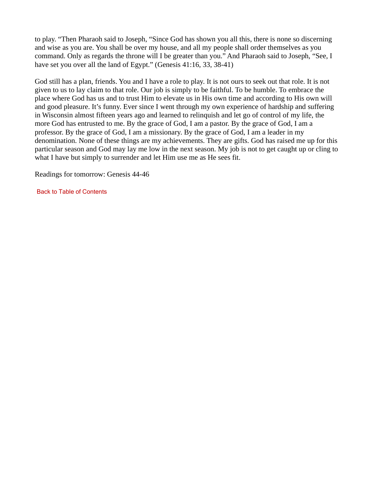to play. "Then Pharaoh said to Joseph, "Since God has shown you all this, there is none so discerning and wise as you are. You shall be over my house, and all my people shall order themselves as you command. Only as regards the throne will I be greater than you." And Pharaoh said to Joseph, "See, I have set you over all the land of Egypt." (Genesis 41:16, 33, 38-41)

God still has a plan, friends. You and I have a role to play. It is not ours to seek out that role. It is not given to us to lay claim to that role. Our job is simply to be faithful. To be humble. To embrace the place where God has us and to trust Him to elevate us in His own time and according to His own will and good pleasure. It's funny. Ever since I went through my own experience of hardship and suffering in Wisconsin almost fifteen years ago and learned to relinquish and let go of control of my life, the more God has entrusted to me. By the grace of God, I am a pastor. By the grace of God, I am a professor. By the grace of God, I am a missionary. By the grace of God, I am a leader in my denomination. None of these things are my achievements. They are gifts. God has raised me up for this particular season and God may lay me low in the next season. My job is not to get caught up or cling to what I have but simply to surrender and let Him use me as He sees fit.

Readings for tomorrow: Genesis 44-46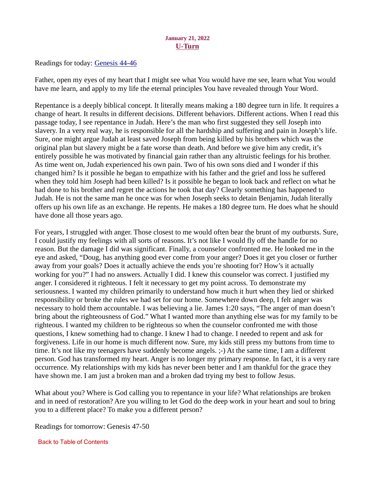## January 21, 2022 U-Turn

<span id="page-30-0"></span>Readings for today[: Genesis 44-46](https://www.biblegateway.com/passage/?search=Genesis+44-46&version=ESV)

Father, open my eyes of my heart that I might see what You would have me see, learn what You would have me learn, and apply to my life the eternal principles You have revealed through Your Word.

Repentance is a deeply biblical concept. It literally means making a 180 degree turn in life. It requires a change of heart. It results in different decisions. Different behaviors. Different actions. When I read this passage today, I see repentance in Judah. Here's the man who first suggested they sell Joseph into slavery. In a very real way, he is responsible for all the hardship and suffering and pain in Joseph's life. Sure, one might argue Judah at least saved Joseph from being killed by his brothers which was the original plan but slavery might be a fate worse than death. And before we give him any credit, it's entirely possible he was motivated by financial gain rather than any altruistic feelings for his brother. As time went on, Judah experienced his own pain. Two of his own sons died and I wonder if this changed him? Is it possible he began to empathize with his father and the grief and loss he suffered when they told him Joseph had been killed? Is it possible he began to look back and reflect on what he had done to his brother and regret the actions he took that day? Clearly something has happened to Judah. He is not the same man he once was for when Joseph seeks to detain Benjamin, Judah literally offers up his own life as an exchange. He repents. He makes a 180 degree turn. He does what he should have done all those years ago.

For years, I struggled with anger. Those closest to me would often bear the brunt of my outbursts. Sure, I could justify my feelings with all sorts of reasons. It's not like I would fly off the handle for no reason. But the damage I did was significant. Finally, a counselor confronted me. He looked me in the eye and asked, "Doug, has anything good ever come from your anger? Does it get you closer or further away from your goals? Does it actually achieve the ends you're shooting for? How's it actually working for you?" I had no answers. Actually I did. I knew this counselor was correct. I justified my anger. I considered it righteous. I felt it necessary to get my point across. To demonstrate my seriousness. I wanted my children primarily to understand how much it hurt when they lied or shirked responsibility or broke the rules we had set for our home. Somewhere down deep, I felt anger was necessary to hold them accountable. I was believing a lie. James 1:20 says, "The anger of man doesn't bring about the righteousness of God." What I wanted more than anything else was for my family to be righteous. I wanted my children to be righteous so when the counselor confronted me with those questions, I knew something had to change. I knew I had to change. I needed to repent and ask for forgiveness. Life in our home is much different now. Sure, my kids still press my buttons from time to time. It's not like my teenagers have suddenly become angels. ;-) At the same time, I am a different person. God has transformed my heart. Anger is no longer my primary response. In fact, it is a very rare occurrence. My relationships with my kids has never been better and I am thankful for the grace they have shown me. I am just a broken man and a broken dad trying my best to follow Jesus.

What about you? Where is God calling you to repentance in your life? What relationships are broken and in need of restoration? Are you willing to let God do the deep work in your heart and soul to bring you to a different place? To make you a different person?

Readings for tomorrow: Genesis 47-50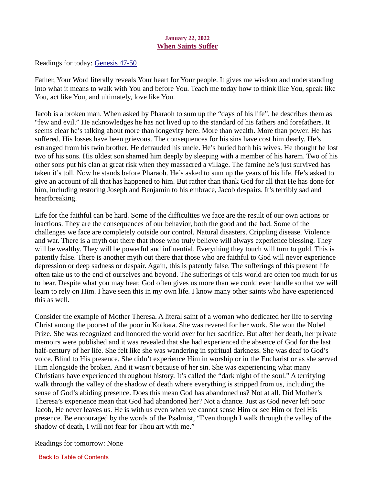## January 22, 2022 When Saints Suffer

<span id="page-31-0"></span>Readings for today: [Genesis 47-50](https://www.biblegateway.com/passage/?search=Genesis+47-50&version=ESV)

Father, Your Word literally reveals Your heart for Your people. It gives me wisdom and understanding into what it means to walk with You and before You. Teach me today how to think like You, speak like You, act like You, and ultimately, love like You.

Jacob is a broken man. When asked by Pharaoh to sum up the "days of his life", he describes them as "few and evil." He acknowledges he has not lived up to the standard of his fathers and forefathers. It seems clear he's talking about more than longevity here. More than wealth. More than power. He has suffered. His losses have been grievous. The consequences for his sins have cost him dearly. He's estranged from his twin brother. He defrauded his uncle. He's buried both his wives. He thought he lost two of his sons. His oldest son shamed him deeply by sleeping with a member of his harem. Two of his other sons put his clan at great risk when they massacred a village. The famine he's just survived has taken it's toll. Now he stands before Pharaoh. He's asked to sum up the years of his life. He's asked to give an account of all that has happened to him. But rather than thank God for all that He has done for him, including restoring Joseph and Benjamin to his embrace, Jacob despairs. It's terribly sad and heartbreaking.

Life for the faithful can be hard. Some of the difficulties we face are the result of our own actions or inactions. They are the consequences of our behavior, both the good and the bad. Some of the challenges we face are completely outside our control. Natural disasters. Crippling disease. Violence and war. There is a myth out there that those who truly believe will always experience blessing. They will be wealthy. They will be powerful and influential. Everything they touch will turn to gold. This is patently false. There is another myth out there that those who are faithful to God will never experience depression or deep sadness or despair. Again, this is patently false. The sufferings of this present life often take us to the end of ourselves and beyond. The sufferings of this world are often too much for us to bear. Despite what you may hear, God often gives us more than we could ever handle so that we will learn to rely on Him. I have seen this in my own life. I know many other saints who have experienced this as well.

Consider the example of Mother Theresa. A literal saint of a woman who dedicated her life to serving Christ among the poorest of the poor in Kolkata. She was revered for her work. She won the Nobel Prize. She was recognized and honored the world over for her sacrifice. But after her death, her private memoirs were published and it was revealed that she had experienced the absence of God for the last half-century of her life. She felt like she was wandering in spiritual darkness. She was deaf to God's voice. Blind to His presence. She didn't experience Him in worship or in the Eucharist or as she served Him alongside the broken. And it wasn't because of her sin. She was experiencing what many Christians have experienced throughout history. It's called the "dark night of the soul." A terrifying walk through the valley of the shadow of death where everything is stripped from us, including the sense of God's abiding presence. Does this mean God has abandoned us? Not at all. Did Mother's Theresa's experience mean that God had abandoned her? Not a chance. Just as God never left poor Jacob, He never leaves us. He is with us even when we cannot sense Him or see Him or feel His presence. Be encouraged by the words of the Psalmist, "Even though I walk through the valley of the shadow of death, I will not fear for Thou art with me."

Readings for tomorrow: None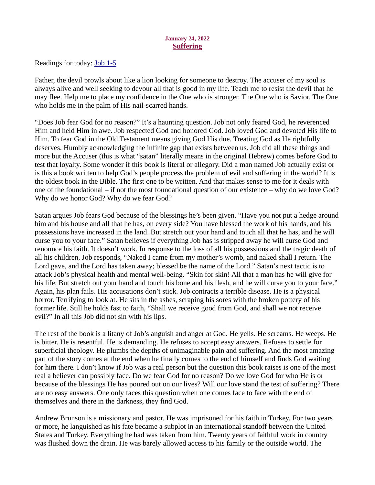### January 24, 2022 Suffering

<span id="page-32-0"></span>Readings for today[: Job 1-5](https://www.biblegateway.com/passage/?search=Job+1-5&version=ESV)

Father, the devil prowls about like a lion looking for someone to destroy. The accuser of my soul is always alive and well seeking to devour all that is good in my life. Teach me to resist the devil that he may flee. Help me to place my confidence in the One who is stronger. The One who is Savior. The One who holds me in the palm of His nail-scarred hands.

"Does Job fear God for no reason?" It's a haunting question. Job not only feared God, he reverenced Him and held Him in awe. Job respected God and honored God. Job loved God and devoted His life to Him. To fear God in the Old Testament means giving God His due. Treating God as He rightfully deserves. Humbly acknowledging the infinite gap that exists between us. Job did all these things and more but the Accuser (this is what "satan" literally means in the original Hebrew) comes before God to test that loyalty. Some wonder if this book is literal or allegory. Did a man named Job actually exist or is this a book written to help God's people process the problem of evil and suffering in the world? It is the oldest book in the Bible. The first one to be written. And that makes sense to me for it deals with one of the foundational – if not the most foundational question of our existence – why do we love God? Why do we honor God? Why do we fear God?

Satan argues Job fears God because of the blessings he's been given. "Have you not put a hedge around him and his house and all that he has, on every side? You have blessed the work of his hands, and his possessions have increased in the land. But stretch out your hand and touch all that he has, and he will curse you to your face." Satan believes if everything Job has is stripped away he will curse God and renounce his faith. It doesn't work. In response to the loss of all his possessions and the tragic death of all his children, Job responds, "Naked I came from my mother's womb, and naked shall I return. The Lord gave, and the Lord has taken away; blessed be the name of the Lord." Satan's next tactic is to attack Job's physical health and mental well-being. "Skin for skin! All that a man has he will give for his life. But stretch out your hand and touch his bone and his flesh, and he will curse you to your face." Again, his plan fails. His accusations don't stick. Job contracts a terrible disease. He is a physical horror. Terrifying to look at. He sits in the ashes, scraping his sores with the broken pottery of his former life. Still he holds fast to faith, "Shall we receive good from God, and shall we not receive evil?" In all this Job did not sin with his lips.

The rest of the book is a litany of Job's anguish and anger at God. He yells. He screams. He weeps. He is bitter. He is resentful. He is demanding. He refuses to accept easy answers. Refuses to settle for superficial theology. He plumbs the depths of unimaginable pain and suffering. And the most amazing part of the story comes at the end when he finally comes to the end of himself and finds God waiting for him there. I don't know if Job was a real person but the question this book raises is one of the most real a believer can possibly face. Do we fear God for no reason? Do we love God for who He is or because of the blessings He has poured out on our lives? Will our love stand the test of suffering? There are no easy answers. One only faces this question when one comes face to face with the end of themselves and there in the darkness, they find God.

Andrew Brunson is a missionary and pastor. He was imprisoned for his faith in Turkey. For two years or more, he languished as his fate became a subplot in an international standoff between the United States and Turkey. Everything he had was taken from him. Twenty years of faithful work in country was flushed down the drain. He was barely allowed access to his family or the outside world. The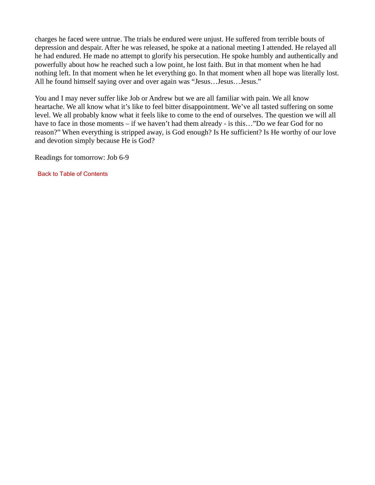charges he faced were untrue. The trials he endured were unjust. He suffered from terrible bouts of depression and despair. After he was released, he spoke at a national meeting I attended. He relayed all he had endured. He made no attempt to glorify his persecution. He spoke humbly and authentically and powerfully about how he reached such a low point, he lost faith. But in that moment when he had nothing left. In that moment when he let everything go. In that moment when all hope was literally lost. All he found himself saying over and over again was "Jesus…Jesus…Jesus."

You and I may never suffer like Job or Andrew but we are all familiar with pain. We all know heartache. We all know what it's like to feel bitter disappointment. We've all tasted suffering on some level. We all probably know what it feels like to come to the end of ourselves. The question we will all have to face in those moments – if we haven't had them already - is this..."Do we fear God for no reason?" When everything is stripped away, is God enough? Is He sufficient? Is He worthy of our love and devotion simply because He is God?

Readings for tomorrow: Job 6-9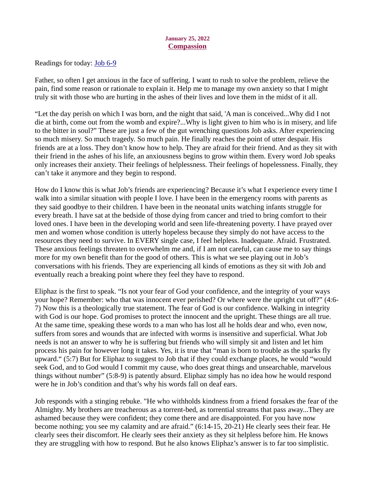#### January 25, 2022 **Compassion**

<span id="page-34-0"></span>Readings for today[: Job 6-9](https://www.biblegateway.com/passage/?search=Job+6-9&version=ESV)

Father, so often I get anxious in the face of suffering. I want to rush to solve the problem, relieve the pain, find some reason or rationale to explain it. Help me to manage my own anxiety so that I might truly sit with those who are hurting in the ashes of their lives and love them in the midst of it all.

"Let the day perish on which I was born, and the night that said, 'A man is conceived...Why did I not die at birth, come out from the womb and expire?...Why is light given to him who is in misery, and life to the bitter in soul?" These are just a few of the gut wrenching questions Job asks. After experiencing so much misery. So much tragedy. So much pain. He finally reaches the point of utter despair. His friends are at a loss. They don't know how to help. They are afraid for their friend. And as they sit with their friend in the ashes of his life, an anxiousness begins to grow within them. Every word Job speaks only increases their anxiety. Their feelings of helplessness. Their feelings of hopelessness. Finally, they can't take it anymore and they begin to respond.

How do I know this is what Job's friends are experiencing? Because it's what I experience every time I walk into a similar situation with people I love. I have been in the emergency rooms with parents as they said goodbye to their children. I have been in the neonatal units watching infants struggle for every breath. I have sat at the bedside of those dying from cancer and tried to bring comfort to their loved ones. I have been in the developing world and seen life-threatening poverty. I have prayed over men and women whose condition is utterly hopeless because they simply do not have access to the resources they need to survive. In EVERY single case, I feel helpless. Inadequate. Afraid. Frustrated. These anxious feelings threaten to overwhelm me and, if I am not careful, can cause me to say things more for my own benefit than for the good of others. This is what we see playing out in Job's conversations with his friends. They are experiencing all kinds of emotions as they sit with Job and eventually reach a breaking point where they feel they have to respond.

Eliphaz is the first to speak. "Is not your fear of God your confidence, and the integrity of your ways your hope? Remember: who that was innocent ever perished? Or where were the upright cut off?" (4:6- 7) Now this is a theologically true statement. The fear of God is our confidence. Walking in integrity with God is our hope. God promises to protect the innocent and the upright. These things are all true. At the same time, speaking these words to a man who has lost all he holds dear and who, even now, suffers from sores and wounds that are infected with worms is insensitive and superficial. What Job needs is not an answer to why he is suffering but friends who will simply sit and listen and let him process his pain for however long it takes. Yes, it is true that "man is born to trouble as the sparks fly upward." (5:7) But for Eliphaz to suggest to Job that if they could exchange places, he would "would seek God, and to God would I commit my cause, who does great things and unsearchable, marvelous things without number" (5:8-9) is patently absurd. Eliphaz simply has no idea how he would respond were he in Job's condition and that's why his words fall on deaf ears.

Job responds with a stinging rebuke. "He who withholds kindness from a friend forsakes the fear of the Almighty. My brothers are treacherous as a torrent-bed, as torrential streams that pass away...They are ashamed because they were confident; they come there and are disappointed. For you have now become nothing; you see my calamity and are afraid." (6:14-15, 20-21) He clearly sees their fear. He clearly sees their discomfort. He clearly sees their anxiety as they sit helpless before him. He knows they are struggling with how to respond. But he also knows Eliphaz's answer is to far too simplistic.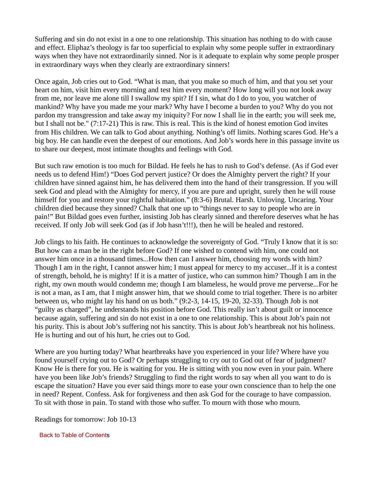Suffering and sin do not exist in a one to one relationship. This situation has nothing to do with cause and effect. Eliphaz's theology is far too superficial to explain why some people suffer in extraordinary ways when they have not extraordinarily sinned. Nor is it adequate to explain why some people prosper in extraordinary ways when they clearly are extraordinary sinners!

Once again, Job cries out to God. "What is man, that you make so much of him, and that you set your heart on him, visit him every morning and test him every moment? How long will you not look away from me, nor leave me alone till I swallow my spit? If I sin, what do I do to you, you watcher of mankind? Why have you made me your mark? Why have I become a burden to you? Why do you not pardon my transgression and take away my iniquity? For now I shall lie in the earth; you will seek me, but I shall not be." (7:17-21) This is raw. This is real. This is the kind of honest emotion God invites from His children. We can talk to God about anything. Nothing's off limits. Nothing scares God. He's a big boy. He can handle even the deepest of our emotions. And Job's words here in this passage invite us to share our deepest, most intimate thoughts and feelings with God.

But such raw emotion is too much for Bildad. He feels he has to rush to God's defense. (As if God ever needs us to defend Him!) "Does God pervert justice? Or does the Almighty pervert the right? If your children have sinned against him, he has delivered them into the hand of their transgression. If you will seek God and plead with the Almighty for mercy, if you are pure and upright, surely then he will rouse himself for you and restore your rightful habitation." (8:3-6) Brutal. Harsh. Unloving. Uncaring. Your children died because they sinned? Chalk that one up to "things never to say to people who are in pain!" But Bildad goes even further, insisting Job has clearly sinned and therefore deserves what he has received. If only Job will seek God (as if Job hasn't!!!), then he will be healed and restored.

Job clings to his faith. He continues to acknowledge the sovereignty of God. "Truly I know that it is so: But how can a man be in the right before God? If one wished to contend with him, one could not answer him once in a thousand times...How then can I answer him, choosing my words with him? Though I am in the right, I cannot answer him; I must appeal for mercy to my accuser...If it is a contest of strength, behold, he is mighty! If it is a matter of justice, who can summon him? Though I am in the right, my own mouth would condemn me; though I am blameless, he would prove me perverse...For he is not a man, as I am, that I might answer him, that we should come to trial together. There is no arbiter between us, who might lay his hand on us both." (9:2-3, 14-15, 19-20, 32-33). Though Job is not "guilty as charged", he understands his position before God. This really isn't about guilt or innocence because again, suffering and sin do not exist in a one to one relationship. This is about Job's pain not his purity. This is about Job's suffering not his sanctity. This is about Job's heartbreak not his holiness. He is hurting and out of his hurt, he cries out to God.

Where are you hurting today? What heartbreaks have you experienced in your life? Where have you found yourself crying out to God? Or perhaps struggling to cry out to God out of fear of judgment? Know He is there for you. He is waiting for you. He is sitting with you now even in your pain. Where have you been like Job's friends? Struggling to find the right words to say when all you want to do is escape the situation? Have you ever said things more to ease your own conscience than to help the one in need? Repent. Confess. Ask for forgiveness and then ask God for the courage to have compassion. To sit with those in pain. To stand with those who suffer. To mourn with those who mourn.

Readings for tomorrow: Job 10-13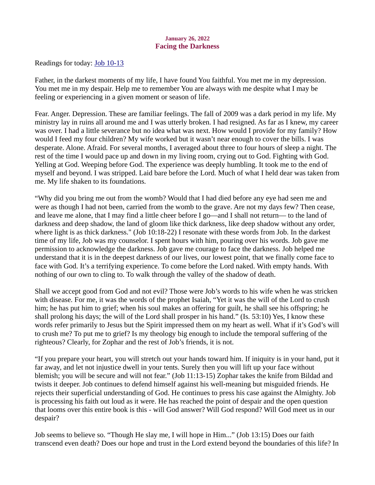## January 26, 2022 Facing the Darkness

<span id="page-36-0"></span>Readings for toda[y: Job 10-13](https://www.biblegateway.com/passage/?search=Job+10-13&version=ESV)

Father, in the darkest moments of my life, I have found You faithful. You met me in my depression. You met me in my despair. Help me to remember You are always with me despite what I may be feeling or experiencing in a given moment or season of life.

Fear. Anger. Depression. These are familiar feelings. The fall of 2009 was a dark period in my life. My ministry lay in ruins all around me and I was utterly broken. I had resigned. As far as I knew, my career was over. I had a little severance but no idea what was next. How would I provide for my family? How would I feed my four children? My wife worked but it wasn't near enough to cover the bills. I was desperate. Alone. Afraid. For several months, I averaged about three to four hours of sleep a night. The rest of the time I would pace up and down in my living room, crying out to God. Fighting with God. Yelling at God. Weeping before God. The experience was deeply humbling. It took me to the end of myself and beyond. I was stripped. Laid bare before the Lord. Much of what I held dear was taken from me. My life shaken to its foundations.

"Why did you bring me out from the womb? Would that I had died before any eye had seen me and were as though I had not been, carried from the womb to the grave. Are not my days few? Then cease, and leave me alone, that I may find a little cheer before I go—and I shall not return— to the land of darkness and deep shadow, the land of gloom like thick darkness, like deep shadow without any order, where light is as thick darkness." (Job 10:18-22) I resonate with these words from Job. In the darkest time of my life, Job was my counselor. I spent hours with him, pouring over his words. Job gave me permission to acknowledge the darkness. Job gave me courage to face the darkness. Job helped me understand that it is in the deepest darkness of our lives, our lowest point, that we finally come face to face with God. It's a terrifying experience. To come before the Lord naked. With empty hands. With nothing of our own to cling to. To walk through the valley of the shadow of death.

Shall we accept good from God and not evil? Those were Job's words to his wife when he was stricken with disease. For me, it was the words of the prophet Isaiah, "Yet it was the will of the Lord to crush him; he has put him to grief; when his soul makes an offering for guilt, he shall see his offspring; he shall prolong his days; the will of the Lord shall prosper in his hand." (Is. 53:10) Yes, I know these words refer primarily to Jesus but the Spirit impressed them on my heart as well. What if it's God's will to crush me? To put me to grief? Is my theology big enough to include the temporal suffering of the righteous? Clearly, for Zophar and the rest of Job's friends, it is not.

"If you prepare your heart, you will stretch out your hands toward him. If iniquity is in your hand, put it far away, and let not injustice dwell in your tents. Surely then you will lift up your face without blemish; you will be secure and will not fear." (Job 11:13-15) Zophar takes the knife from Bildad and twists it deeper. Job continues to defend himself against his well-meaning but misguided friends. He rejects their superficial understanding of God. He continues to press his case against the Almighty. Job is processing his faith out loud as it were. He has reached the point of despair and the open question that looms over this entire book is this - will God answer? Will God respond? Will God meet us in our despair?

Job seems to believe so. "Though He slay me, I will hope in Him..." (Job 13:15) Does our faith transcend even death? Does our hope and trust in the Lord extend beyond the boundaries of this life? In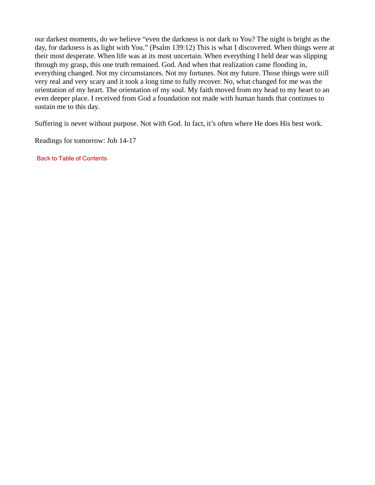our darkest moments, do we believe "even the darkness is not dark to You? The night is bright as the day, for darkness is as light with You." (Psalm 139:12) This is what I discovered. When things were at their most desperate. When life was at its most uncertain. When everything I held dear was slipping through my grasp, this one truth remained. God. And when that realization came flooding in, everything changed. Not my circumstances. Not my fortunes. Not my future. Those things were still very real and very scary and it took a long time to fully recover. No, what changed for me was the orientation of my heart. The orientation of my soul. My faith moved from my head to my heart to an even deeper place. I received from God a foundation not made with human hands that continues to sustain me to this day.

Suffering is never without purpose. Not with God. In fact, it's often where He does His best work.

Readings for tomorrow: Job 14-17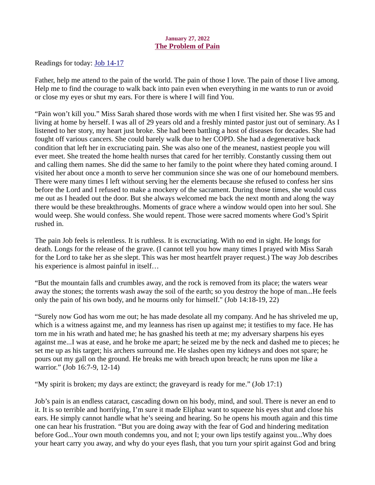## January 27, 2022 The Problem of Pain

<span id="page-38-0"></span>Readings for today: **Job 14-17** 

Father, help me attend to the pain of the world. The pain of those I love. The pain of those I live among. Help me to find the courage to walk back into pain even when everything in me wants to run or avoid or close my eyes or shut my ears. For there is where I will find You.

"Pain won't kill you." Miss Sarah shared those words with me when I first visited her. She was 95 and living at home by herself. I was all of 29 years old and a freshly minted pastor just out of seminary. As I listened to her story, my heart just broke. She had been battling a host of diseases for decades. She had fought off various cancers. She could barely walk due to her COPD. She had a degenerative back condition that left her in excruciating pain. She was also one of the meanest, nastiest people you will ever meet. She treated the home health nurses that cared for her terribly. Constantly cussing them out and calling them names. She did the same to her family to the point where they hated coming around. I visited her about once a month to serve her communion since she was one of our homebound members. There were many times I left without serving her the elements because she refused to confess her sins before the Lord and I refused to make a mockery of the sacrament. During those times, she would cuss me out as I headed out the door. But she always welcomed me back the next month and along the way there would be these breakthroughs. Moments of grace where a window would open into her soul. She would weep. She would confess. She would repent. Those were sacred moments where God's Spirit rushed in.

The pain Job feels is relentless. It is ruthless. It is excruciating. With no end in sight. He longs for death. Longs for the release of the grave. (I cannot tell you how many times I prayed with Miss Sarah for the Lord to take her as she slept. This was her most heartfelt prayer request.) The way Job describes his experience is almost painful in itself…

"But the mountain falls and crumbles away, and the rock is removed from its place; the waters wear away the stones; the torrents wash away the soil of the earth; so you destroy the hope of man...He feels only the pain of his own body, and he mourns only for himself." (Job 14:18-19, 22)

"Surely now God has worn me out; he has made desolate all my company. And he has shriveled me up, which is a witness against me, and my leanness has risen up against me; it testifies to my face. He has torn me in his wrath and hated me; he has gnashed his teeth at me; my adversary sharpens his eyes against me...I was at ease, and he broke me apart; he seized me by the neck and dashed me to pieces; he set me up as his target; his archers surround me. He slashes open my kidneys and does not spare; he pours out my gall on the ground. He breaks me with breach upon breach; he runs upon me like a warrior." (Job 16:7-9, 12-14)

"My spirit is broken; my days are extinct; the graveyard is ready for me." (Job 17:1)

Job's pain is an endless cataract, cascading down on his body, mind, and soul. There is never an end to it. It is so terrible and horrifying, I'm sure it made Eliphaz want to squeeze his eyes shut and close his ears. He simply cannot handle what he's seeing and hearing. So he opens his mouth again and this time one can hear his frustration. "But you are doing away with the fear of God and hindering meditation before God...Your own mouth condemns you, and not I; your own lips testify against you...Why does your heart carry you away, and why do your eyes flash, that you turn your spirit against God and bring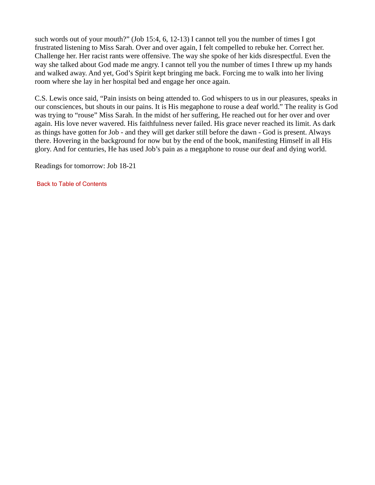such words out of your mouth?" (Job 15:4, 6, 12-13) I cannot tell you the number of times I got frustrated listening to Miss Sarah. Over and over again, I felt compelled to rebuke her. Correct her. Challenge her. Her racist rants were offensive. The way she spoke of her kids disrespectful. Even the way she talked about God made me angry. I cannot tell you the number of times I threw up my hands and walked away. And yet, God's Spirit kept bringing me back. Forcing me to walk into her living room where she lay in her hospital bed and engage her once again.

C.S. Lewis once said, "Pain insists on being attended to. God whispers to us in our pleasures, speaks in our consciences, but shouts in our pains. It is His megaphone to rouse a deaf world." The reality is God was trying to "rouse" Miss Sarah. In the midst of her suffering, He reached out for her over and over again. His love never wavered. His faithfulness never failed. His grace never reached its limit. As dark as things have gotten for Job - and they will get darker still before the dawn - God is present. Always there. Hovering in the background for now but by the end of the book, manifesting Himself in all His glory. And for centuries, He has used Job's pain as a megaphone to rouse our deaf and dying world.

Readings for tomorrow: Job 18-21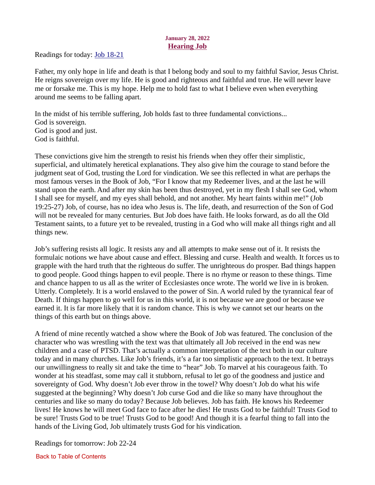# January 28, 2022 Hearing Job

<span id="page-40-0"></span>Readings for today[: Job 18-21](https://www.biblegateway.com/passage/?search=Job+18-21&version=ESV)

Father, my only hope in life and death is that I belong body and soul to my faithful Savior, Jesus Christ. He reigns sovereign over my life. He is good and righteous and faithful and true. He will never leave me or forsake me. This is my hope. Help me to hold fast to what I believe even when everything around me seems to be falling apart.

In the midst of his terrible suffering, Job holds fast to three fundamental convictions... God is sovereign. God is good and just. God is faithful.

These convictions give him the strength to resist his friends when they offer their simplistic, superficial, and ultimately heretical explanations. They also give him the courage to stand before the judgment seat of God, trusting the Lord for vindication. We see this reflected in what are perhaps the most famous verses in the Book of Job, "For I know that my Redeemer lives, and at the last he will stand upon the earth. And after my skin has been thus destroyed, yet in my flesh I shall see God, whom I shall see for myself, and my eyes shall behold, and not another. My heart faints within me!" (Job 19:25-27) Job, of course, has no idea who Jesus is. The life, death, and resurrection of the Son of God will not be revealed for many centuries. But Job does have faith. He looks forward, as do all the Old Testament saints, to a future yet to be revealed, trusting in a God who will make all things right and all things new.

Job's suffering resists all logic. It resists any and all attempts to make sense out of it. It resists the formulaic notions we have about cause and effect. Blessing and curse. Health and wealth. It forces us to grapple with the hard truth that the righteous do suffer. The unrighteous do prosper. Bad things happen to good people. Good things happen to evil people. There is no rhyme or reason to these things. Time and chance happen to us all as the writer of Ecclesiastes once wrote. The world we live in is broken. Utterly. Completely. It is a world enslaved to the power of Sin. A world ruled by the tyrannical fear of Death. If things happen to go well for us in this world, it is not because we are good or because we earned it. It is far more likely that it is random chance. This is why we cannot set our hearts on the things of this earth but on things above.

A friend of mine recently watched a show where the Book of Job was featured. The conclusion of the character who was wrestling with the text was that ultimately all Job received in the end was new children and a case of PTSD. That's actually a common interpretation of the text both in our culture today and in many churches. Like Job's friends, it's a far too simplistic approach to the text. It betrays our unwillingness to really sit and take the time to "hear" Job. To marvel at his courageous faith. To wonder at his steadfast, some may call it stubborn, refusal to let go of the goodness and justice and sovereignty of God. Why doesn't Job ever throw in the towel? Why doesn't Job do what his wife suggested at the beginning? Why doesn't Job curse God and die like so many have throughout the centuries and like so many do today? Because Job believes. Job has faith. He knows his Redeemer lives! He knows he will meet God face to face after he dies! He trusts God to be faithful! Trusts God to be sure! Trusts God to be true! Trusts God to be good! And though it is a fearful thing to fall into the hands of the Living God, Job ultimately trusts God for his vindication.

Readings for tomorrow: Job 22-24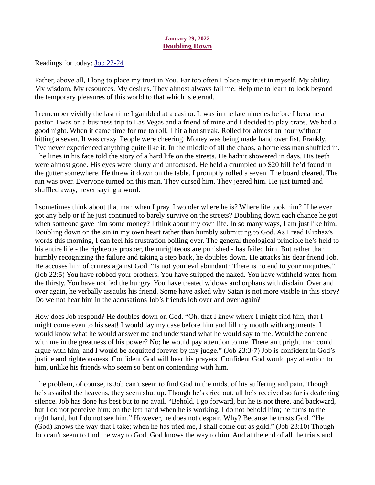#### January 29, 2022 Doubling Down

<span id="page-41-0"></span>Readings for today: [Job 22-24](https://www.biblegateway.com/passage/?search=Job+22-24&version=ESV)

Father, above all, I long to place my trust in You. Far too often I place my trust in myself. My ability. My wisdom. My resources. My desires. They almost always fail me. Help me to learn to look beyond the temporary pleasures of this world to that which is eternal.

I remember vividly the last time I gambled at a casino. It was in the late nineties before I became a pastor. I was on a business trip to Las Vegas and a friend of mine and I decided to play craps. We had a good night. When it came time for me to roll, I hit a hot streak. Rolled for almost an hour without hitting a seven. It was crazy. People were cheering. Money was being made hand over fist. Frankly, I've never experienced anything quite like it. In the middle of all the chaos, a homeless man shuffled in. The lines in his face told the story of a hard life on the streets. He hadn't showered in days. His teeth were almost gone. His eyes were blurry and unfocused. He held a crumpled up \$20 bill he'd found in the gutter somewhere. He threw it down on the table. I promptly rolled a seven. The board cleared. The run was over. Everyone turned on this man. They cursed him. They jeered him. He just turned and shuffled away, never saying a word.

I sometimes think about that man when I pray. I wonder where he is? Where life took him? If he ever got any help or if he just continued to barely survive on the streets? Doubling down each chance he got when someone gave him some money? I think about my own life. In so many ways, I am just like him. Doubling down on the sin in my own heart rather than humbly submitting to God. As I read Eliphaz's words this morning, I can feel his frustration boiling over. The general theological principle he's held to his entire life - the righteous prosper, the unrighteous are punished - has failed him. But rather than humbly recognizing the failure and taking a step back, he doubles down. He attacks his dear friend Job. He accuses him of crimes against God. "Is not your evil abundant? There is no end to your iniquities." (Job 22:5) You have robbed your brothers. You have stripped the naked. You have withheld water from the thirsty. You have not fed the hungry. You have treated widows and orphans with disdain. Over and over again, he verbally assaults his friend. Some have asked why Satan is not more visible in this story? Do we not hear him in the accusations Job's friends lob over and over again?

How does Job respond? He doubles down on God. "Oh, that I knew where I might find him, that I might come even to his seat! I would lay my case before him and fill my mouth with arguments. I would know what he would answer me and understand what he would say to me. Would he contend with me in the greatness of his power? No; he would pay attention to me. There an upright man could argue with him, and I would be acquitted forever by my judge." (Job 23:3-7) Job is confident in God's justice and righteousness. Confident God will hear his prayers. Confident God would pay attention to him, unlike his friends who seem so bent on contending with him.

The problem, of course, is Job can't seem to find God in the midst of his suffering and pain. Though he's assailed the heavens, they seem shut up. Though he's cried out, all he's received so far is deafening silence. Job has done his best but to no avail. "Behold, I go forward, but he is not there, and backward, but I do not perceive him; on the left hand when he is working, I do not behold him; he turns to the right hand, but I do not see him." However, he does not despair. Why? Because he trusts God. "He (God) knows the way that I take; when he has tried me, I shall come out as gold." (Job 23:10) Though Job can't seem to find the way to God, God knows the way to him. And at the end of all the trials and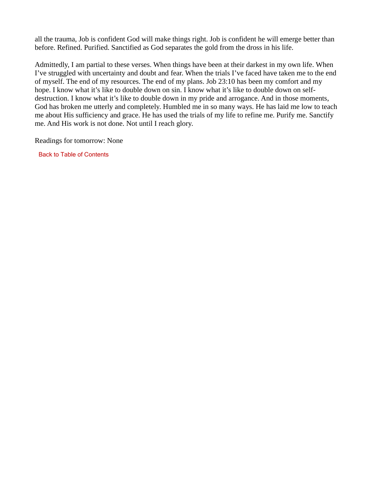all the trauma, Job is confident God will make things right. Job is confident he will emerge better than before. Refined. Purified. Sanctified as God separates the gold from the dross in his life.

Admittedly, I am partial to these verses. When things have been at their darkest in my own life. When I've struggled with uncertainty and doubt and fear. When the trials I've faced have taken me to the end of myself. The end of my resources. The end of my plans. Job 23:10 has been my comfort and my hope. I know what it's like to double down on sin. I know what it's like to double down on selfdestruction. I know what it's like to double down in my pride and arrogance. And in those moments, God has broken me utterly and completely. Humbled me in so many ways. He has laid me low to teach me about His sufficiency and grace. He has used the trials of my life to refine me. Purify me. Sanctify me. And His work is not done. Not until I reach glory.

Readings for tomorrow: None